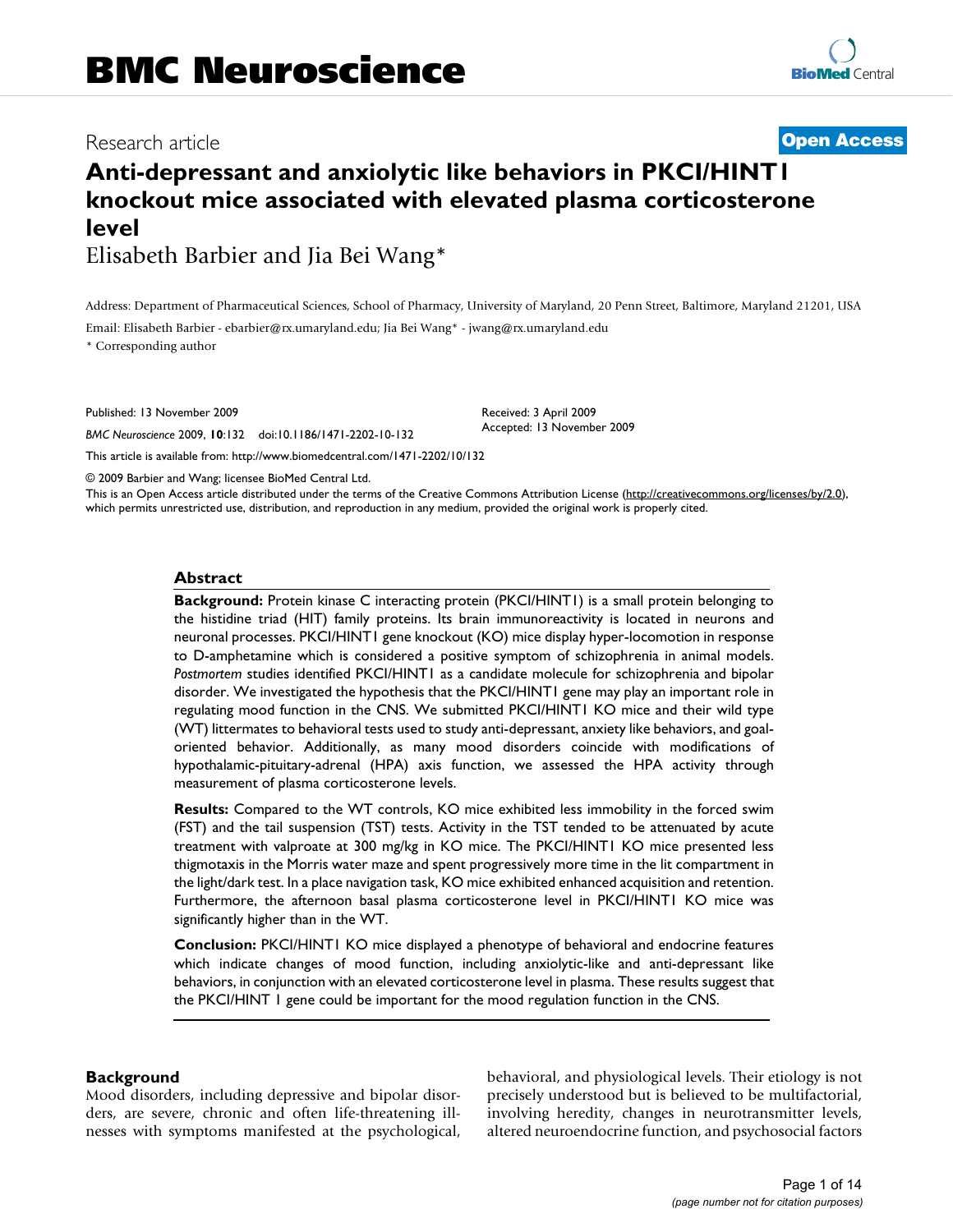# Research article **[Open Access](http://www.biomedcentral.com/info/about/charter/)**

# **Anti-depressant and anxiolytic like behaviors in PKCI/HINT1 knockout mice associated with elevated plasma corticosterone level**

Elisabeth Barbier and Jia Bei Wang\*

Address: Department of Pharmaceutical Sciences, School of Pharmacy, University of Maryland, 20 Penn Street, Baltimore, Maryland 21201, USA

Received: 3 April 2009 Accepted: 13 November 2009

Email: Elisabeth Barbier - ebarbier@rx.umaryland.edu; Jia Bei Wang\* - jwang@rx.umaryland.edu \* Corresponding author

Published: 13 November 2009

*BMC Neuroscience* 2009, **10**:132 doi:10.1186/1471-2202-10-132

[This article is available from: http://www.biomedcentral.com/1471-2202/10/132](http://www.biomedcentral.com/1471-2202/10/132)

© 2009 Barbier and Wang; licensee BioMed Central Ltd.

This is an Open Access article distributed under the terms of the Creative Commons Attribution License [\(http://creativecommons.org/licenses/by/2.0\)](http://creativecommons.org/licenses/by/2.0), which permits unrestricted use, distribution, and reproduction in any medium, provided the original work is properly cited.

#### **Abstract**

**Background:** Protein kinase C interacting protein (PKCI/HINT1) is a small protein belonging to the histidine triad (HIT) family proteins. Its brain immunoreactivity is located in neurons and neuronal processes. PKCI/HINT1 gene knockout (KO) mice display hyper-locomotion in response to D-amphetamine which is considered a positive symptom of schizophrenia in animal models. *Postmortem* studies identified PKCI/HINT1 as a candidate molecule for schizophrenia and bipolar disorder. We investigated the hypothesis that the PKCI/HINT1 gene may play an important role in regulating mood function in the CNS. We submitted PKCI/HINT1 KO mice and their wild type (WT) littermates to behavioral tests used to study anti-depressant, anxiety like behaviors, and goaloriented behavior. Additionally, as many mood disorders coincide with modifications of hypothalamic-pituitary-adrenal (HPA) axis function, we assessed the HPA activity through measurement of plasma corticosterone levels.

**Results:** Compared to the WT controls, KO mice exhibited less immobility in the forced swim (FST) and the tail suspension (TST) tests. Activity in the TST tended to be attenuated by acute treatment with valproate at 300 mg/kg in KO mice. The PKCI/HINT1 KO mice presented less thigmotaxis in the Morris water maze and spent progressively more time in the lit compartment in the light/dark test. In a place navigation task, KO mice exhibited enhanced acquisition and retention. Furthermore, the afternoon basal plasma corticosterone level in PKCI/HINT1 KO mice was significantly higher than in the WT.

**Conclusion:** PKCI/HINT1 KO mice displayed a phenotype of behavioral and endocrine features which indicate changes of mood function, including anxiolytic-like and anti-depressant like behaviors, in conjunction with an elevated corticosterone level in plasma. These results suggest that the PKCI/HINT 1 gene could be important for the mood regulation function in the CNS.

#### **Background**

Mood disorders, including depressive and bipolar disorders, are severe, chronic and often life-threatening illnesses with symptoms manifested at the psychological, behavioral, and physiological levels. Their etiology is not precisely understood but is believed to be multifactorial, involving heredity, changes in neurotransmitter levels, altered neuroendocrine function, and psychosocial factors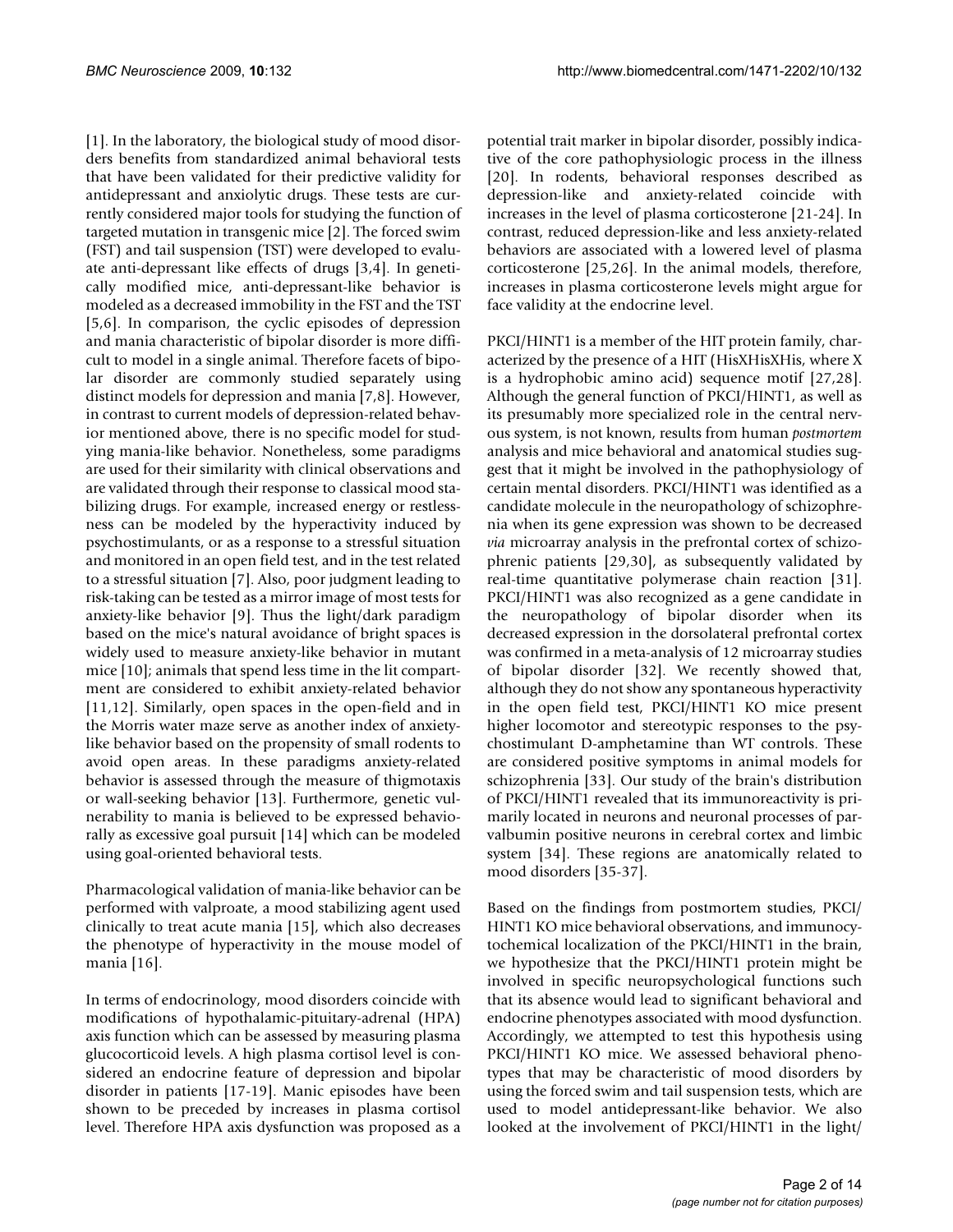[1]. In the laboratory, the biological study of mood disorders benefits from standardized animal behavioral tests that have been validated for their predictive validity for antidepressant and anxiolytic drugs. These tests are currently considered major tools for studying the function of targeted mutation in transgenic mice [2]. The forced swim (FST) and tail suspension (TST) were developed to evaluate anti-depressant like effects of drugs [3,4]. In genetically modified mice, anti-depressant-like behavior is modeled as a decreased immobility in the FST and the TST [5,6]. In comparison, the cyclic episodes of depression and mania characteristic of bipolar disorder is more difficult to model in a single animal. Therefore facets of bipolar disorder are commonly studied separately using distinct models for depression and mania [7,8]. However, in contrast to current models of depression-related behavior mentioned above, there is no specific model for studying mania-like behavior. Nonetheless, some paradigms are used for their similarity with clinical observations and are validated through their response to classical mood stabilizing drugs. For example, increased energy or restlessness can be modeled by the hyperactivity induced by psychostimulants, or as a response to a stressful situation and monitored in an open field test, and in the test related to a stressful situation [7]. Also, poor judgment leading to risk-taking can be tested as a mirror image of most tests for anxiety-like behavior [9]. Thus the light/dark paradigm based on the mice's natural avoidance of bright spaces is widely used to measure anxiety-like behavior in mutant mice [10]; animals that spend less time in the lit compartment are considered to exhibit anxiety-related behavior [11,12]. Similarly, open spaces in the open-field and in the Morris water maze serve as another index of anxietylike behavior based on the propensity of small rodents to avoid open areas. In these paradigms anxiety-related behavior is assessed through the measure of thigmotaxis or wall-seeking behavior [13]. Furthermore, genetic vulnerability to mania is believed to be expressed behaviorally as excessive goal pursuit [14] which can be modeled using goal-oriented behavioral tests.

Pharmacological validation of mania-like behavior can be performed with valproate, a mood stabilizing agent used clinically to treat acute mania [15], which also decreases the phenotype of hyperactivity in the mouse model of mania [16].

In terms of endocrinology, mood disorders coincide with modifications of hypothalamic-pituitary-adrenal (HPA) axis function which can be assessed by measuring plasma glucocorticoid levels. A high plasma cortisol level is considered an endocrine feature of depression and bipolar disorder in patients [17-19]. Manic episodes have been shown to be preceded by increases in plasma cortisol level. Therefore HPA axis dysfunction was proposed as a potential trait marker in bipolar disorder, possibly indicative of the core pathophysiologic process in the illness [20]. In rodents, behavioral responses described as depression-like and anxiety-related coincide with increases in the level of plasma corticosterone [21-24]. In contrast, reduced depression-like and less anxiety-related behaviors are associated with a lowered level of plasma corticosterone [25,26]. In the animal models, therefore, increases in plasma corticosterone levels might argue for face validity at the endocrine level.

PKCI/HINT1 is a member of the HIT protein family, characterized by the presence of a HIT (HisXHisXHis, where X is a hydrophobic amino acid) sequence motif [27,28]. Although the general function of PKCI/HINT1, as well as its presumably more specialized role in the central nervous system, is not known, results from human *postmortem* analysis and mice behavioral and anatomical studies suggest that it might be involved in the pathophysiology of certain mental disorders. PKCI/HINT1 was identified as a candidate molecule in the neuropathology of schizophrenia when its gene expression was shown to be decreased *via* microarray analysis in the prefrontal cortex of schizophrenic patients [29,30], as subsequently validated by real-time quantitative polymerase chain reaction [31]. PKCI/HINT1 was also recognized as a gene candidate in the neuropathology of bipolar disorder when its decreased expression in the dorsolateral prefrontal cortex was confirmed in a meta-analysis of 12 microarray studies of bipolar disorder [32]. We recently showed that, although they do not show any spontaneous hyperactivity in the open field test, PKCI/HINT1 KO mice present higher locomotor and stereotypic responses to the psychostimulant D-amphetamine than WT controls. These are considered positive symptoms in animal models for schizophrenia [33]. Our study of the brain's distribution of PKCI/HINT1 revealed that its immunoreactivity is primarily located in neurons and neuronal processes of parvalbumin positive neurons in cerebral cortex and limbic system [34]. These regions are anatomically related to mood disorders [35-37].

Based on the findings from postmortem studies, PKCI/ HINT1 KO mice behavioral observations, and immunocytochemical localization of the PKCI/HINT1 in the brain, we hypothesize that the PKCI/HINT1 protein might be involved in specific neuropsychological functions such that its absence would lead to significant behavioral and endocrine phenotypes associated with mood dysfunction. Accordingly, we attempted to test this hypothesis using PKCI/HINT1 KO mice. We assessed behavioral phenotypes that may be characteristic of mood disorders by using the forced swim and tail suspension tests, which are used to model antidepressant-like behavior. We also looked at the involvement of PKCI/HINT1 in the light/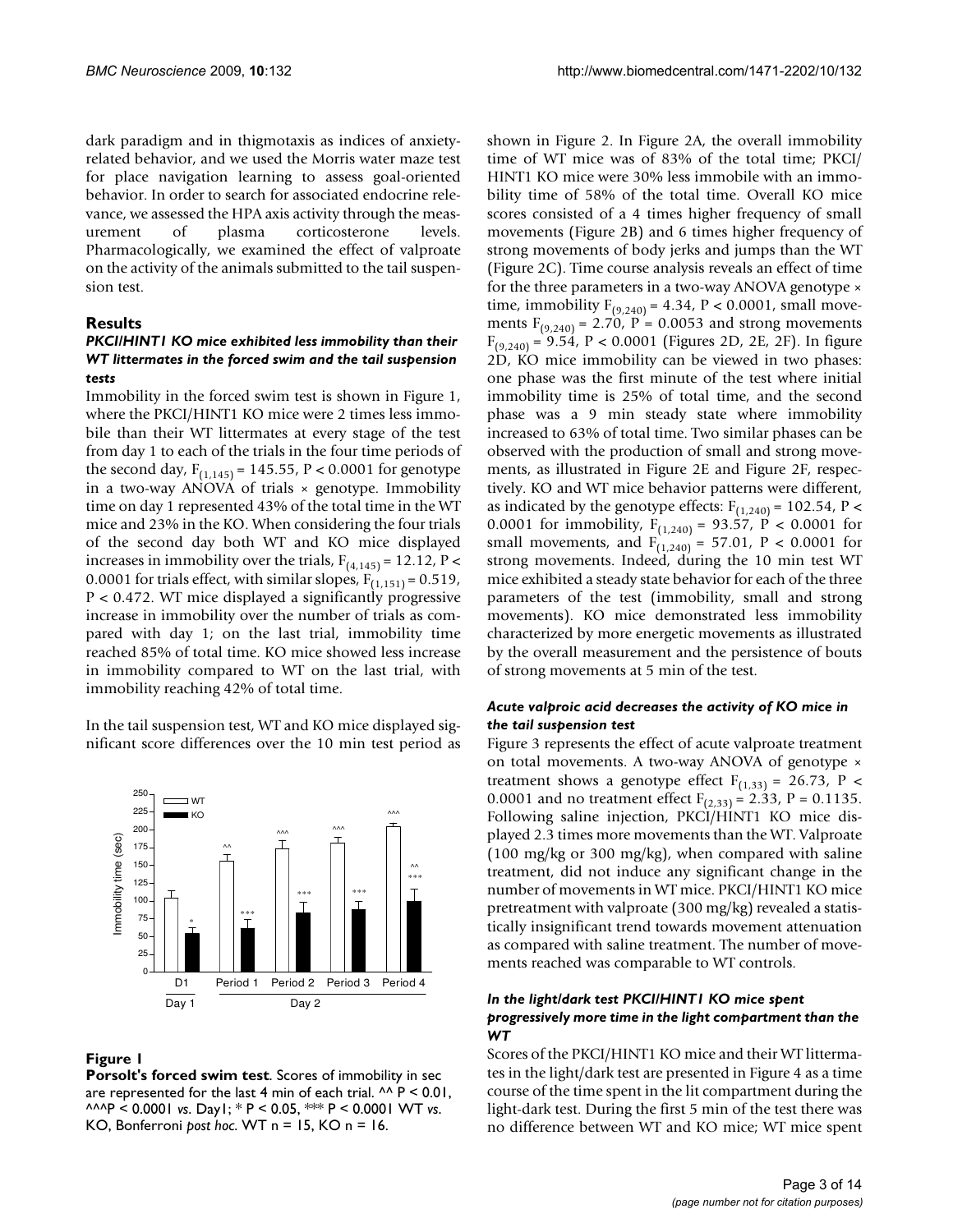dark paradigm and in thigmotaxis as indices of anxietyrelated behavior, and we used the Morris water maze test for place navigation learning to assess goal-oriented behavior. In order to search for associated endocrine relevance, we assessed the HPA axis activity through the measurement of plasma corticosterone levels. Pharmacologically, we examined the effect of valproate on the activity of the animals submitted to the tail suspension test.

# **Results**

## *PKCI/HINT1 KO mice exhibited less immobility than their WT littermates in the forced swim and the tail suspension tests*

Immobility in the forced swim test is shown in Figure 1, where the PKCI/HINT1 KO mice were 2 times less immobile than their WT littermates at every stage of the test from day 1 to each of the trials in the four time periods of the second day,  $F_{(1,145)} = 145.55$ ,  $P < 0.0001$  for genotype in a two-way ANOVA of trials  $\times$  genotype. Immobility time on day 1 represented 43% of the total time in the WT mice and 23% in the KO. When considering the four trials of the second day both WT and KO mice displayed increases in immobility over the trials,  $F_{(4,145)} = 12.12$ , P < 0.0001 for trials effect, with similar slopes,  $F_{(1,151)} = 0.519$ , P < 0.472. WT mice displayed a significantly progressive increase in immobility over the number of trials as compared with day 1; on the last trial, immobility time reached 85% of total time. KO mice showed less increase in immobility compared to WT on the last trial, with immobility reaching 42% of total time.

In the tail suspension test, WT and KO mice displayed significant score differences over the 10 min test period as



# **Figure 1**

**Porsolt's forced swim test**. Scores of immobility in sec are represented for the last 4 min of each trial.  $\wedge \wedge P < 0.01$ , ^^^P < 0.0001 *vs*. Day1; \* P < 0.05, \*\*\* P < 0.0001 WT *vs*. KO, Bonferroni *post hoc*. WT n = 15, KO n = 16.

shown in Figure 2. In Figure 2A, the overall immobility time of WT mice was of 83% of the total time; PKCI/ HINT1 KO mice were 30% less immobile with an immobility time of 58% of the total time. Overall KO mice scores consisted of a 4 times higher frequency of small movements (Figure 2B) and 6 times higher frequency of strong movements of body jerks and jumps than the WT (Figure 2C). Time course analysis reveals an effect of time for the three parameters in a two-way ANOVA genotype × time, immobility  $F_{(9,240)} = 4.34$ ,  $P < 0.0001$ , small movements  $F_{(9,240)} = 2.70$ ,  $P = 0.0053$  and strong movements  $F_{(9,240)} = 9.54$ , P < 0.0001 (Figures 2D, 2E, 2F). In figure 2D, KO mice immobility can be viewed in two phases: one phase was the first minute of the test where initial immobility time is 25% of total time, and the second phase was a 9 min steady state where immobility increased to 63% of total time. Two similar phases can be observed with the production of small and strong movements, as illustrated in Figure 2E and Figure 2F, respectively. KO and WT mice behavior patterns were different, as indicated by the genotype effects:  $F_{(1,240)} = 102.54$ , P < 0.0001 for immobility,  $F_{(1,240)} = 93.57$ ,  $P < 0.0001$  for small movements, and  $F_{(1,240)} = 57.01$ ,  $P < 0.0001$  for strong movements. Indeed, during the 10 min test WT mice exhibited a steady state behavior for each of the three parameters of the test (immobility, small and strong movements). KO mice demonstrated less immobility characterized by more energetic movements as illustrated by the overall measurement and the persistence of bouts of strong movements at 5 min of the test.

#### *Acute valproic acid decreases the activity of KO mice in the tail suspension test*

Figure 3 represents the effect of acute valproate treatment on total movements. A two-way ANOVA of genotype × treatment shows a genotype effect  $F_{(1,33)} = 26.73$ , P < 0.0001 and no treatment effect  $F_{(2,33)} = 2.33$ , P = 0.1135. Following saline injection, PKCI/HINT1 KO mice displayed 2.3 times more movements than the WT. Valproate (100 mg/kg or 300 mg/kg), when compared with saline treatment, did not induce any significant change in the number of movements in WT mice. PKCI/HINT1 KO mice pretreatment with valproate (300 mg/kg) revealed a statistically insignificant trend towards movement attenuation as compared with saline treatment. The number of movements reached was comparable to WT controls.

#### *In the light/dark test PKCI/HINT1 KO mice spent progressively more time in the light compartment than the WT*

Scores of the PKCI/HINT1 KO mice and their WT littermates in the light/dark test are presented in Figure 4 as a time course of the time spent in the lit compartment during the light-dark test. During the first 5 min of the test there was no difference between WT and KO mice; WT mice spent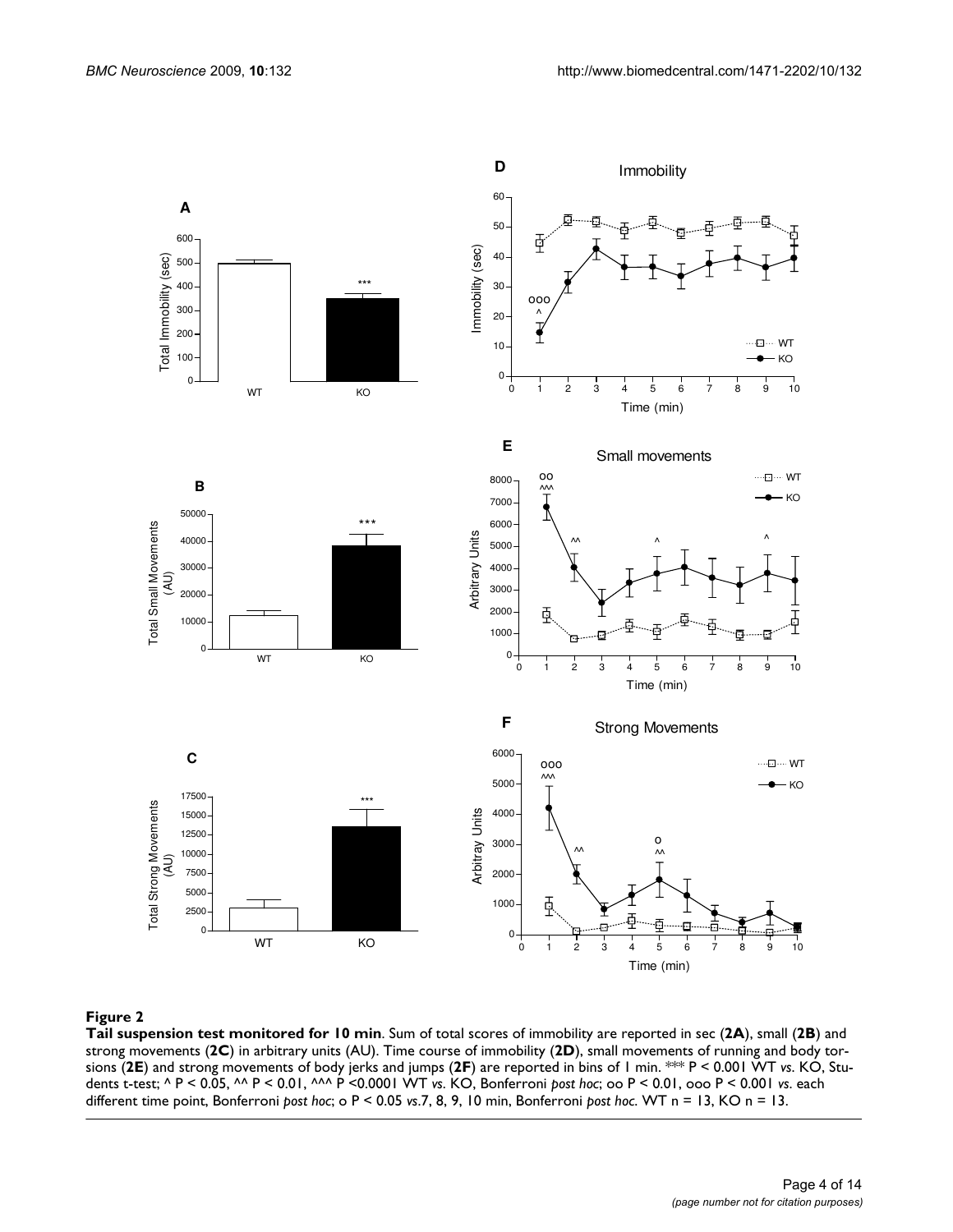

#### **Figure 2**

**Tail suspension test monitored for 10 min**. Sum of total scores of immobility are reported in sec (**2A**), small (**2B**) and strong movements (**2C**) in arbitrary units (AU). Time course of immobility (**2D**), small movements of running and body torsions (**2E**) and strong movements of body jerks and jumps (**2F**) are reported in bins of 1 min. \*\*\* P < 0.001 WT *vs*. KO, Students t-test; ^ P < 0.05, ^^ P < 0.01, ^^^ P <0.0001 WT *vs*. KO, Bonferroni *post hoc*; oo P < 0.01, ooo P < 0.001 *vs*. each different time point, Bonferroni *post hoc*; o P < 0.05 *vs*.7, 8, 9, 10 min, Bonferroni *post hoc*. WT n = 13, KO n = 13.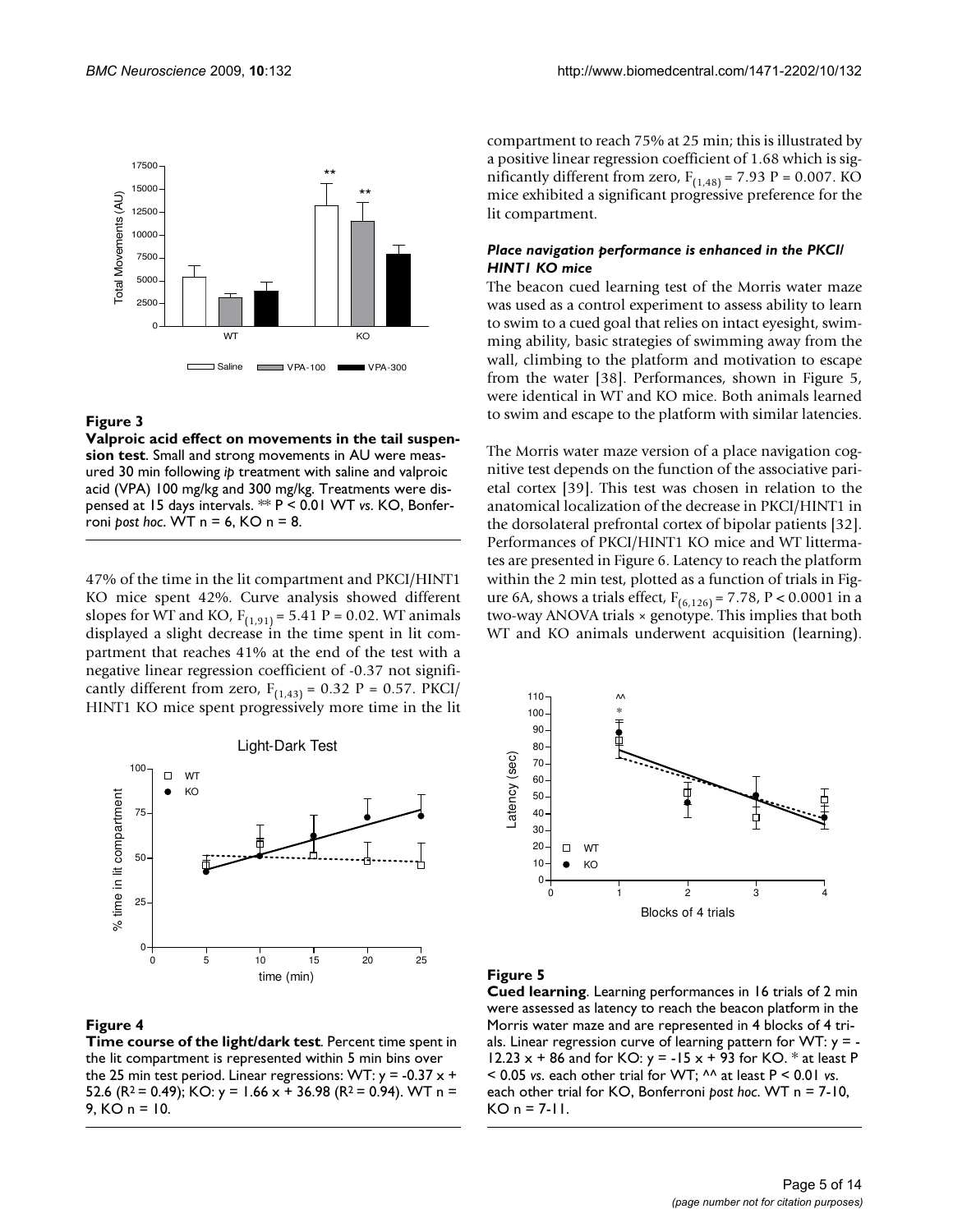

#### Figure 3

**Valproic acid effect on movements in the tail suspension test**. Small and strong movements in AU were measured 30 min following *ip* treatment with saline and valproic acid (VPA) 100 mg/kg and 300 mg/kg. Treatments were dispensed at 15 days intervals. \*\* P < 0.01 WT *vs*. KO, Bonferroni *post hoc*. WT n = 6, KO n = 8.

47% of the time in the lit compartment and PKCI/HINT1 KO mice spent 42%. Curve analysis showed different slopes for WT and KO,  $F_{(1,91)} = 5.41$  P = 0.02. WT animals displayed a slight decrease in the time spent in lit compartment that reaches 41% at the end of the test with a negative linear regression coefficient of -0.37 not significantly different from zero,  $F_{(1,43)} = 0.32$  P = 0.57. PKCI/ HINT1 KO mice spent progressively more time in the lit



#### **Figure 4**

**Time course of the light/dark test**. Percent time spent in the lit compartment is represented within 5 min bins over the 25 min test period. Linear regressions: WT:  $y = -0.37 x +$ 52.6 (R<sup>2</sup> = 0.49); KO: y = 1.66 x + 36.98 (R<sup>2</sup> = 0.94). WT n = 9, KO n = 10.

compartment to reach 75% at 25 min; this is illustrated by a positive linear regression coefficient of 1.68 which is significantly different from zero,  $F_{(1,48)} = 7.93$  P = 0.007. KO mice exhibited a significant progressive preference for the lit compartment.

#### *Place navigation performance is enhanced in the PKCI/ HINT1 KO mice*

The beacon cued learning test of the Morris water maze was used as a control experiment to assess ability to learn to swim to a cued goal that relies on intact eyesight, swimming ability, basic strategies of swimming away from the wall, climbing to the platform and motivation to escape from the water [38]. Performances, shown in Figure 5, were identical in WT and KO mice. Both animals learned to swim and escape to the platform with similar latencies.

The Morris water maze version of a place navigation cognitive test depends on the function of the associative parietal cortex [39]. This test was chosen in relation to the anatomical localization of the decrease in PKCI/HINT1 in the dorsolateral prefrontal cortex of bipolar patients [32]. Performances of PKCI/HINT1 KO mice and WT littermates are presented in Figure 6. Latency to reach the platform within the 2 min test, plotted as a function of trials in Figure 6A, shows a trials effect,  $F_{(6,126)} = 7.78$ , P < 0.0001 in a two-way ANOVA trials × genotype. This implies that both WT and KO animals underwent acquisition (learning).



#### **Figure 5**

**Cued learning**. Learning performances in 16 trials of 2 min were assessed as latency to reach the beacon platform in the Morris water maze and are represented in 4 blocks of 4 trials. Linear regression curve of learning pattern for  $WT: y = -$ 12.23  $x + 86$  and for KO:  $y = -15x + 93$  for KO.  $*$  at least P < 0.05 *vs*. each other trial for WT; ^^ at least P < 0.01 *vs*. each other trial for KO, Bonferroni *post hoc*. WT n = 7-10,  $KO n = 7-11.$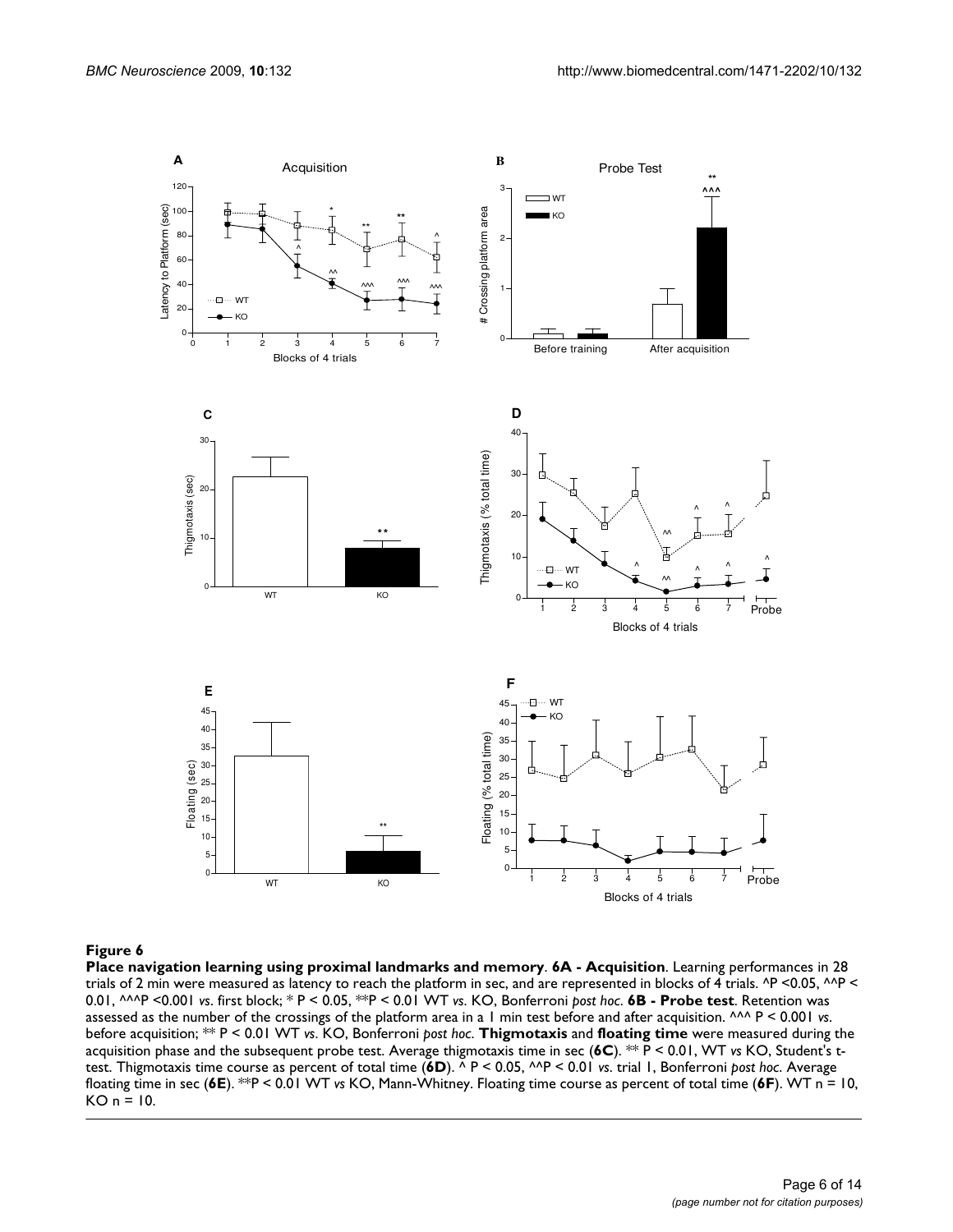

#### **Figure 6**

**Place navigation learning using proximal landmarks and memory**. **6A - Acquisition**. Learning performances in 28 trials of 2 min were measured as latency to reach the platform in sec, and are represented in blocks of 4 trials. ^P <0.05, ^^P < 0.01, ^^^P <0.001 *vs*. first block; \* P < 0.05, \*\*P < 0.01 WT *vs*. KO, Bonferroni *post hoc*. **6B - Probe test**. Retention was assessed as the number of the crossings of the platform area in a 1 min test before and after acquisition. ^^^ P < 0.001 *vs*. before acquisition; \*\* P < 0.01 WT *vs*. KO, Bonferroni *post hoc*. **Thigmotaxis** and **floating time** were measured during the acquisition phase and the subsequent probe test. Average thigmotaxis time in sec (**6C**). \*\* P < 0.01, WT *vs* KO, Student's ttest. Thigmotaxis time course as percent of total time (**6D**). ^ P < 0.05, ^^P < 0.01 *vs*. trial 1, Bonferroni *post hoc*. Average floating time in sec (**6E**). \*\*P < 0.01 WT *vs* KO, Mann-Whitney. Floating time course as percent of total time (**6F**). WT n = 10,  $KO n = 10.$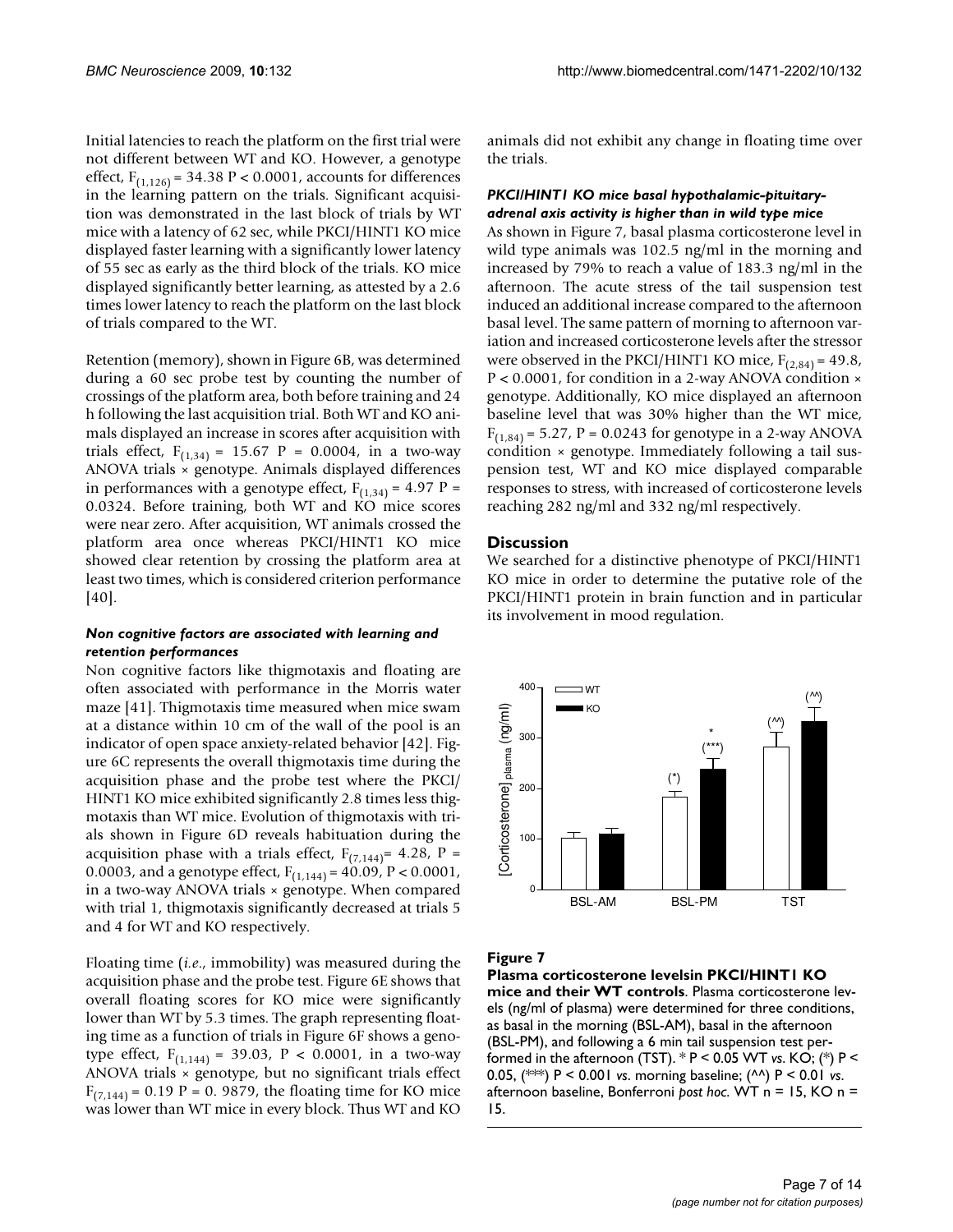Initial latencies to reach the platform on the first trial were not different between WT and KO. However, a genotype effect,  $F_{(1,126)} = 34.38 \text{ P} < 0.0001$ , accounts for differences in the learning pattern on the trials. Significant acquisition was demonstrated in the last block of trials by WT mice with a latency of 62 sec, while PKCI/HINT1 KO mice displayed faster learning with a significantly lower latency of 55 sec as early as the third block of the trials. KO mice displayed significantly better learning, as attested by a 2.6 times lower latency to reach the platform on the last block of trials compared to the WT.

Retention (memory), shown in Figure 6B, was determined during a 60 sec probe test by counting the number of crossings of the platform area, both before training and 24 h following the last acquisition trial. Both WT and KO animals displayed an increase in scores after acquisition with trials effect,  $F_{(1,34)} = 15.67$  P = 0.0004, in a two-way ANOVA trials × genotype. Animals displayed differences in performances with a genotype effect,  $F_{(1,34)} = 4.97$  P = 0.0324. Before training, both WT and KO mice scores were near zero. After acquisition, WT animals crossed the platform area once whereas PKCI/HINT1 KO mice showed clear retention by crossing the platform area at least two times, which is considered criterion performance [40].

#### *Non cognitive factors are associated with learning and retention performances*

Non cognitive factors like thigmotaxis and floating are often associated with performance in the Morris water maze [41]. Thigmotaxis time measured when mice swam at a distance within 10 cm of the wall of the pool is an indicator of open space anxiety-related behavior [42]. Figure 6C represents the overall thigmotaxis time during the acquisition phase and the probe test where the PKCI/ HINT1 KO mice exhibited significantly 2.8 times less thigmotaxis than WT mice. Evolution of thigmotaxis with trials shown in Figure 6D reveals habituation during the acquisition phase with a trials effect,  $F_{(7,144)} = 4.28$ , P = 0.0003, and a genotype effect,  $F_{(1,144)} = 40.09$ ,  $P < 0.0001$ , in a two-way ANOVA trials × genotype. When compared with trial 1, thigmotaxis significantly decreased at trials 5 and 4 for WT and KO respectively.

Floating time (*i.e*., immobility) was measured during the acquisition phase and the probe test. Figure 6E shows that overall floating scores for KO mice were significantly lower than WT by 5.3 times. The graph representing floating time as a function of trials in Figure 6F shows a genotype effect,  $F_{(1,144)} = 39.03$ ,  $P < 0.0001$ , in a two-way ANOVA trials × genotype, but no significant trials effect  $F_{(7,144)} = 0.19$  P = 0. 9879, the floating time for KO mice was lower than WT mice in every block. Thus WT and KO

animals did not exhibit any change in floating time over the trials.

#### *PKCI/HINT1 KO mice basal hypothalamic-pituitaryadrenal axis activity is higher than in wild type mice*

As shown in Figure 7, basal plasma corticosterone level in wild type animals was 102.5 ng/ml in the morning and increased by 79% to reach a value of 183.3 ng/ml in the afternoon. The acute stress of the tail suspension test induced an additional increase compared to the afternoon basal level. The same pattern of morning to afternoon variation and increased corticosterone levels after the stressor were observed in the PKCI/HINT1 KO mice,  $F_{(2,84)} = 49.8$ , P < 0.0001, for condition in a 2-way ANOVA condition × genotype. Additionally, KO mice displayed an afternoon baseline level that was 30% higher than the WT mice,  $F_{(1,84)} = 5.27$ , P = 0.0243 for genotype in a 2-way ANOVA condition × genotype. Immediately following a tail suspension test, WT and KO mice displayed comparable responses to stress, with increased of corticosterone levels reaching 282 ng/ml and 332 ng/ml respectively.

#### **Discussion**

We searched for a distinctive phenotype of PKCI/HINT1 KO mice in order to determine the putative role of the PKCI/HINT1 protein in brain function and in particular its involvement in mood regulation.



#### **Figure 7**

**Plasma corticosterone levelsin PKCI/HINT1 KO mice and their WT controls**. Plasma corticosterone levels (ng/ml of plasma) were determined for three conditions, as basal in the morning (BSL-AM), basal in the afternoon (BSL-PM), and following a 6 min tail suspension test performed in the afternoon (TST). \* P < 0.05 WT *vs*. KO; (\*) P < 0.05, (\*\*\*) P < 0.001 *vs*. morning baseline; (^^) P < 0.01 *vs*. afternoon baseline, Bonferroni *post hoc*. WT n = 15, KO n = 15.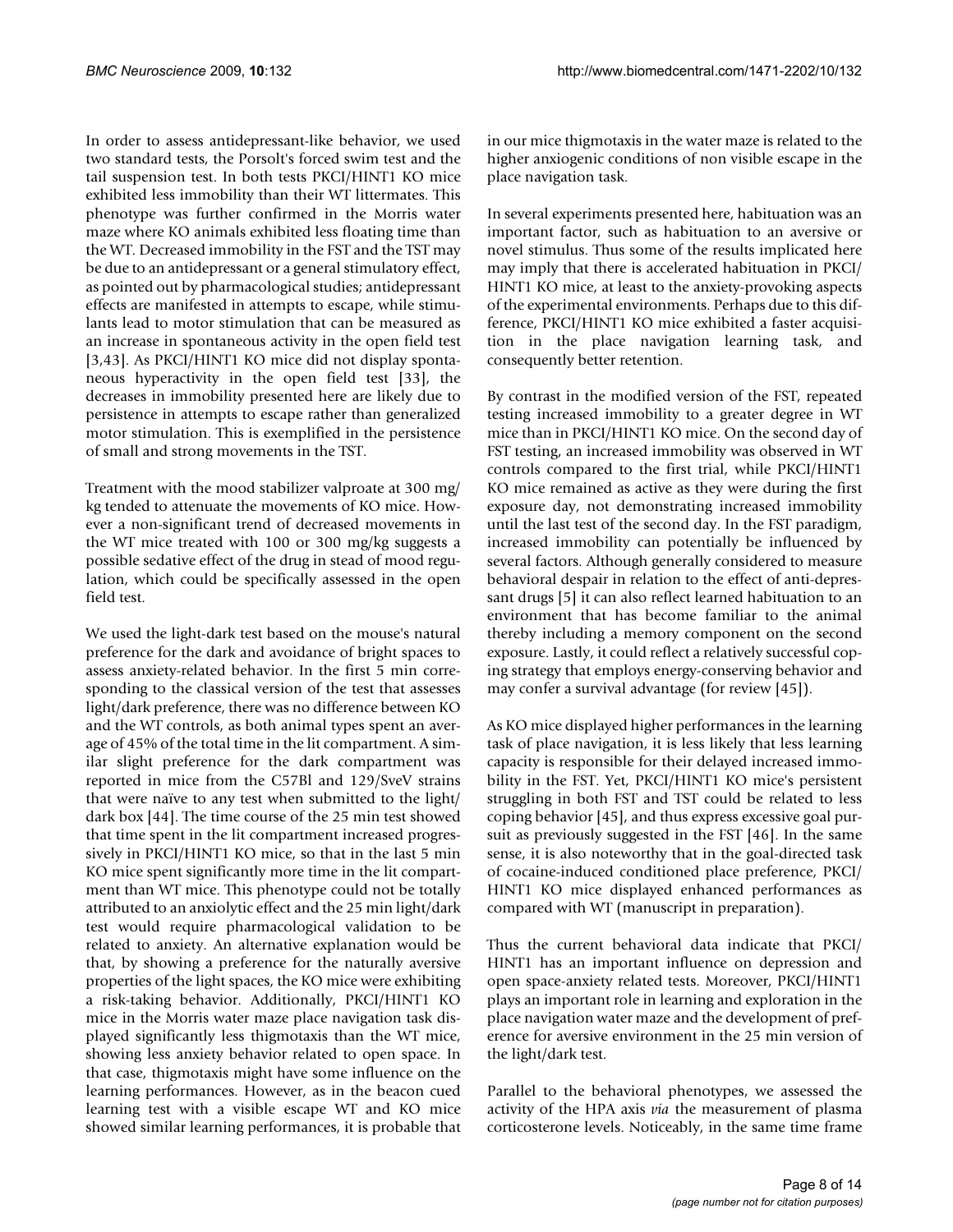In order to assess antidepressant-like behavior, we used two standard tests, the Porsolt's forced swim test and the tail suspension test. In both tests PKCI/HINT1 KO mice exhibited less immobility than their WT littermates. This phenotype was further confirmed in the Morris water maze where KO animals exhibited less floating time than the WT. Decreased immobility in the FST and the TST may be due to an antidepressant or a general stimulatory effect, as pointed out by pharmacological studies; antidepressant effects are manifested in attempts to escape, while stimulants lead to motor stimulation that can be measured as an increase in spontaneous activity in the open field test [3,43]. As PKCI/HINT1 KO mice did not display spontaneous hyperactivity in the open field test [33], the decreases in immobility presented here are likely due to persistence in attempts to escape rather than generalized motor stimulation. This is exemplified in the persistence of small and strong movements in the TST.

Treatment with the mood stabilizer valproate at 300 mg/ kg tended to attenuate the movements of KO mice. However a non-significant trend of decreased movements in the WT mice treated with 100 or 300 mg/kg suggests a possible sedative effect of the drug in stead of mood regulation, which could be specifically assessed in the open field test.

We used the light-dark test based on the mouse's natural preference for the dark and avoidance of bright spaces to assess anxiety-related behavior. In the first 5 min corresponding to the classical version of the test that assesses light/dark preference, there was no difference between KO and the WT controls, as both animal types spent an average of 45% of the total time in the lit compartment. A similar slight preference for the dark compartment was reported in mice from the C57Bl and 129/SveV strains that were naïve to any test when submitted to the light/ dark box [44]. The time course of the 25 min test showed that time spent in the lit compartment increased progressively in PKCI/HINT1 KO mice, so that in the last 5 min KO mice spent significantly more time in the lit compartment than WT mice. This phenotype could not be totally attributed to an anxiolytic effect and the 25 min light/dark test would require pharmacological validation to be related to anxiety. An alternative explanation would be that, by showing a preference for the naturally aversive properties of the light spaces, the KO mice were exhibiting a risk-taking behavior. Additionally, PKCI/HINT1 KO mice in the Morris water maze place navigation task displayed significantly less thigmotaxis than the WT mice, showing less anxiety behavior related to open space. In that case, thigmotaxis might have some influence on the learning performances. However, as in the beacon cued learning test with a visible escape WT and KO mice showed similar learning performances, it is probable that

in our mice thigmotaxis in the water maze is related to the higher anxiogenic conditions of non visible escape in the place navigation task.

In several experiments presented here, habituation was an important factor, such as habituation to an aversive or novel stimulus. Thus some of the results implicated here may imply that there is accelerated habituation in PKCI/ HINT1 KO mice, at least to the anxiety-provoking aspects of the experimental environments. Perhaps due to this difference, PKCI/HINT1 KO mice exhibited a faster acquisition in the place navigation learning task, and consequently better retention.

By contrast in the modified version of the FST, repeated testing increased immobility to a greater degree in WT mice than in PKCI/HINT1 KO mice. On the second day of FST testing, an increased immobility was observed in WT controls compared to the first trial, while PKCI/HINT1 KO mice remained as active as they were during the first exposure day, not demonstrating increased immobility until the last test of the second day. In the FST paradigm, increased immobility can potentially be influenced by several factors. Although generally considered to measure behavioral despair in relation to the effect of anti-depressant drugs [5] it can also reflect learned habituation to an environment that has become familiar to the animal thereby including a memory component on the second exposure. Lastly, it could reflect a relatively successful coping strategy that employs energy-conserving behavior and may confer a survival advantage (for review [45]).

As KO mice displayed higher performances in the learning task of place navigation, it is less likely that less learning capacity is responsible for their delayed increased immobility in the FST. Yet, PKCI/HINT1 KO mice's persistent struggling in both FST and TST could be related to less coping behavior [45], and thus express excessive goal pursuit as previously suggested in the FST [46]. In the same sense, it is also noteworthy that in the goal-directed task of cocaine-induced conditioned place preference, PKCI/ HINT1 KO mice displayed enhanced performances as compared with WT (manuscript in preparation).

Thus the current behavioral data indicate that PKCI/ HINT1 has an important influence on depression and open space-anxiety related tests. Moreover, PKCI/HINT1 plays an important role in learning and exploration in the place navigation water maze and the development of preference for aversive environment in the 25 min version of the light/dark test.

Parallel to the behavioral phenotypes, we assessed the activity of the HPA axis *via* the measurement of plasma corticosterone levels. Noticeably, in the same time frame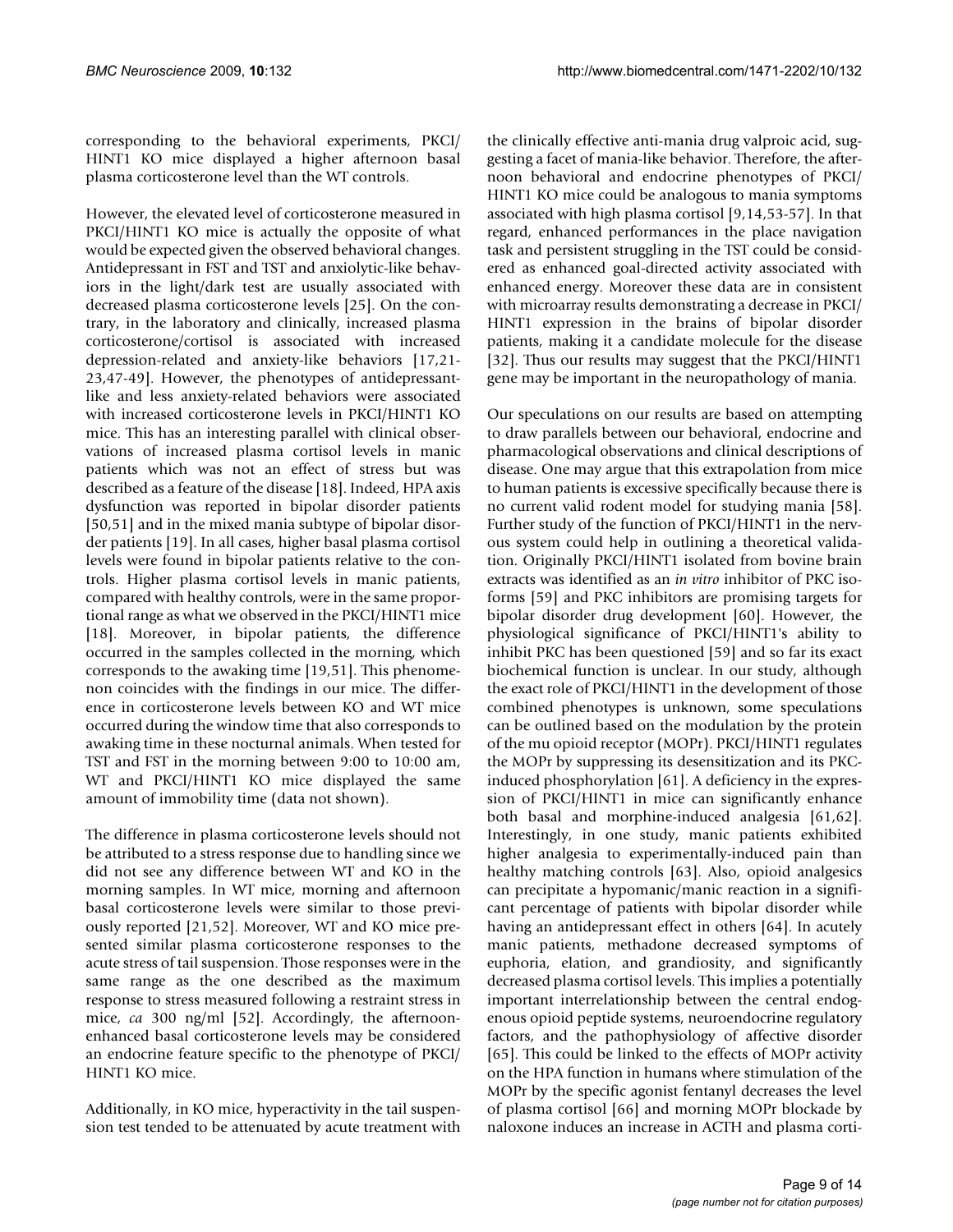corresponding to the behavioral experiments, PKCI/ HINT1 KO mice displayed a higher afternoon basal plasma corticosterone level than the WT controls.

However, the elevated level of corticosterone measured in PKCI/HINT1 KO mice is actually the opposite of what would be expected given the observed behavioral changes. Antidepressant in FST and TST and anxiolytic-like behaviors in the light/dark test are usually associated with decreased plasma corticosterone levels [25]. On the contrary, in the laboratory and clinically, increased plasma corticosterone/cortisol is associated with increased depression-related and anxiety-like behaviors [17,21- 23,47-49]. However, the phenotypes of antidepressantlike and less anxiety-related behaviors were associated with increased corticosterone levels in PKCI/HINT1 KO mice. This has an interesting parallel with clinical observations of increased plasma cortisol levels in manic patients which was not an effect of stress but was described as a feature of the disease [18]. Indeed, HPA axis dysfunction was reported in bipolar disorder patients [50,51] and in the mixed mania subtype of bipolar disorder patients [19]. In all cases, higher basal plasma cortisol levels were found in bipolar patients relative to the controls. Higher plasma cortisol levels in manic patients, compared with healthy controls, were in the same proportional range as what we observed in the PKCI/HINT1 mice [18]. Moreover, in bipolar patients, the difference occurred in the samples collected in the morning, which corresponds to the awaking time [19,51]. This phenomenon coincides with the findings in our mice. The difference in corticosterone levels between KO and WT mice occurred during the window time that also corresponds to awaking time in these nocturnal animals. When tested for TST and FST in the morning between 9:00 to 10:00 am, WT and PKCI/HINT1 KO mice displayed the same amount of immobility time (data not shown).

The difference in plasma corticosterone levels should not be attributed to a stress response due to handling since we did not see any difference between WT and KO in the morning samples. In WT mice, morning and afternoon basal corticosterone levels were similar to those previously reported [21,52]. Moreover, WT and KO mice presented similar plasma corticosterone responses to the acute stress of tail suspension. Those responses were in the same range as the one described as the maximum response to stress measured following a restraint stress in mice, *ca* 300 ng/ml [52]. Accordingly, the afternoonenhanced basal corticosterone levels may be considered an endocrine feature specific to the phenotype of PKCI/ HINT1 KO mice.

Additionally, in KO mice, hyperactivity in the tail suspension test tended to be attenuated by acute treatment with the clinically effective anti-mania drug valproic acid, suggesting a facet of mania-like behavior. Therefore, the afternoon behavioral and endocrine phenotypes of PKCI/ HINT1 KO mice could be analogous to mania symptoms associated with high plasma cortisol [9,14,53-57]. In that regard, enhanced performances in the place navigation task and persistent struggling in the TST could be considered as enhanced goal-directed activity associated with enhanced energy. Moreover these data are in consistent with microarray results demonstrating a decrease in PKCI/ HINT1 expression in the brains of bipolar disorder patients, making it a candidate molecule for the disease [32]. Thus our results may suggest that the PKCI/HINT1 gene may be important in the neuropathology of mania.

Our speculations on our results are based on attempting to draw parallels between our behavioral, endocrine and pharmacological observations and clinical descriptions of disease. One may argue that this extrapolation from mice to human patients is excessive specifically because there is no current valid rodent model for studying mania [58]. Further study of the function of PKCI/HINT1 in the nervous system could help in outlining a theoretical validation. Originally PKCI/HINT1 isolated from bovine brain extracts was identified as an *in vitro* inhibitor of PKC isoforms [59] and PKC inhibitors are promising targets for bipolar disorder drug development [60]. However, the physiological significance of PKCI/HINT1's ability to inhibit PKC has been questioned [59] and so far its exact biochemical function is unclear. In our study, although the exact role of PKCI/HINT1 in the development of those combined phenotypes is unknown, some speculations can be outlined based on the modulation by the protein of the mu opioid receptor (MOPr). PKCI/HINT1 regulates the MOPr by suppressing its desensitization and its PKCinduced phosphorylation [61]. A deficiency in the expression of PKCI/HINT1 in mice can significantly enhance both basal and morphine-induced analgesia [61,62]. Interestingly, in one study, manic patients exhibited higher analgesia to experimentally-induced pain than healthy matching controls [63]. Also, opioid analgesics can precipitate a hypomanic/manic reaction in a significant percentage of patients with bipolar disorder while having an antidepressant effect in others [64]. In acutely manic patients, methadone decreased symptoms of euphoria, elation, and grandiosity, and significantly decreased plasma cortisol levels. This implies a potentially important interrelationship between the central endogenous opioid peptide systems, neuroendocrine regulatory factors, and the pathophysiology of affective disorder [65]. This could be linked to the effects of MOPr activity on the HPA function in humans where stimulation of the MOPr by the specific agonist fentanyl decreases the level of plasma cortisol [66] and morning MOPr blockade by naloxone induces an increase in ACTH and plasma corti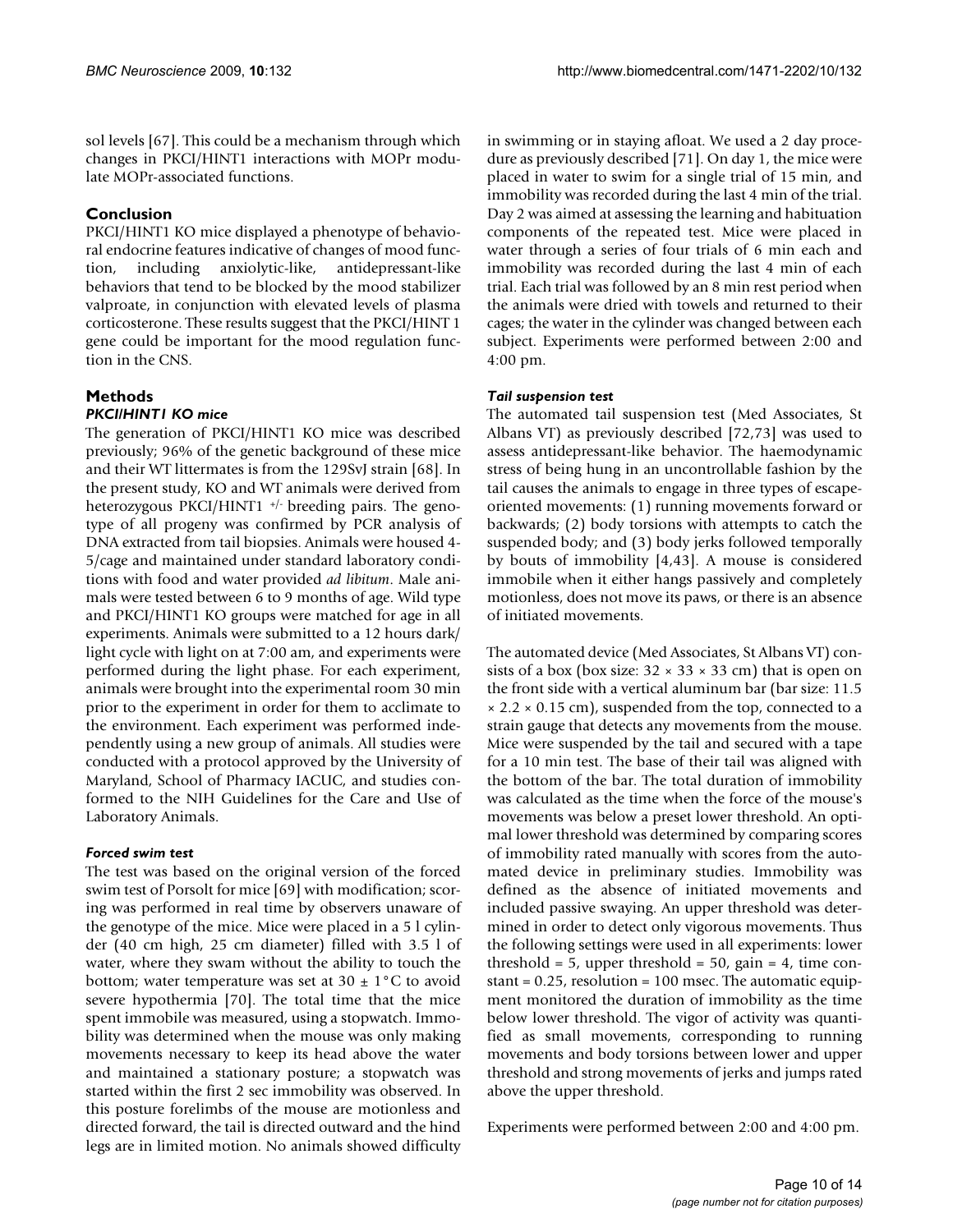sol levels [67]. This could be a mechanism through which changes in PKCI/HINT1 interactions with MOPr modulate MOPr-associated functions.

# **Conclusion**

PKCI/HINT1 KO mice displayed a phenotype of behavioral endocrine features indicative of changes of mood function, including anxiolytic-like, antidepressant-like behaviors that tend to be blocked by the mood stabilizer valproate, in conjunction with elevated levels of plasma corticosterone. These results suggest that the PKCI/HINT 1 gene could be important for the mood regulation function in the CNS.

# **Methods**

# *PKCI/HINT1 KO mice*

The generation of PKCI/HINT1 KO mice was described previously; 96% of the genetic background of these mice and their WT littermates is from the 129SvJ strain [68]. In the present study, KO and WT animals were derived from heterozygous PKCI/HINT1 +/- breeding pairs. The genotype of all progeny was confirmed by PCR analysis of DNA extracted from tail biopsies. Animals were housed 4- 5/cage and maintained under standard laboratory conditions with food and water provided *ad libitum*. Male animals were tested between 6 to 9 months of age. Wild type and PKCI/HINT1 KO groups were matched for age in all experiments. Animals were submitted to a 12 hours dark/ light cycle with light on at 7:00 am, and experiments were performed during the light phase. For each experiment, animals were brought into the experimental room 30 min prior to the experiment in order for them to acclimate to the environment. Each experiment was performed independently using a new group of animals. All studies were conducted with a protocol approved by the University of Maryland, School of Pharmacy IACUC, and studies conformed to the NIH Guidelines for the Care and Use of Laboratory Animals.

# *Forced swim test*

The test was based on the original version of the forced swim test of Porsolt for mice [69] with modification; scoring was performed in real time by observers unaware of the genotype of the mice. Mice were placed in a 5 l cylinder (40 cm high, 25 cm diameter) filled with 3.5 l of water, where they swam without the ability to touch the bottom; water temperature was set at  $30 \pm 1^{\circ}$ C to avoid severe hypothermia [70]. The total time that the mice spent immobile was measured, using a stopwatch. Immobility was determined when the mouse was only making movements necessary to keep its head above the water and maintained a stationary posture; a stopwatch was started within the first 2 sec immobility was observed. In this posture forelimbs of the mouse are motionless and directed forward, the tail is directed outward and the hind legs are in limited motion. No animals showed difficulty

in swimming or in staying afloat. We used a 2 day procedure as previously described [71]. On day 1, the mice were placed in water to swim for a single trial of 15 min, and immobility was recorded during the last 4 min of the trial. Day 2 was aimed at assessing the learning and habituation components of the repeated test. Mice were placed in water through a series of four trials of 6 min each and immobility was recorded during the last 4 min of each trial. Each trial was followed by an 8 min rest period when the animals were dried with towels and returned to their cages; the water in the cylinder was changed between each subject. Experiments were performed between 2:00 and 4:00 pm.

## *Tail suspension test*

The automated tail suspension test (Med Associates, St Albans VT) as previously described [72,73] was used to assess antidepressant-like behavior. The haemodynamic stress of being hung in an uncontrollable fashion by the tail causes the animals to engage in three types of escapeoriented movements: (1) running movements forward or backwards; (2) body torsions with attempts to catch the suspended body; and (3) body jerks followed temporally by bouts of immobility [4,43]. A mouse is considered immobile when it either hangs passively and completely motionless, does not move its paws, or there is an absence of initiated movements.

The automated device (Med Associates, St Albans VT) consists of a box (box size:  $32 \times 33 \times 33$  cm) that is open on the front side with a vertical aluminum bar (bar size: 11.5  $\times$  2.2  $\times$  0.15 cm), suspended from the top, connected to a strain gauge that detects any movements from the mouse. Mice were suspended by the tail and secured with a tape for a 10 min test. The base of their tail was aligned with the bottom of the bar. The total duration of immobility was calculated as the time when the force of the mouse's movements was below a preset lower threshold. An optimal lower threshold was determined by comparing scores of immobility rated manually with scores from the automated device in preliminary studies. Immobility was defined as the absence of initiated movements and included passive swaying. An upper threshold was determined in order to detect only vigorous movements. Thus the following settings were used in all experiments: lower threshold = 5, upper threshold = 50, gain = 4, time constant  $= 0.25$ , resolution  $= 100$  msec. The automatic equipment monitored the duration of immobility as the time below lower threshold. The vigor of activity was quantified as small movements, corresponding to running movements and body torsions between lower and upper threshold and strong movements of jerks and jumps rated above the upper threshold.

Experiments were performed between 2:00 and 4:00 pm.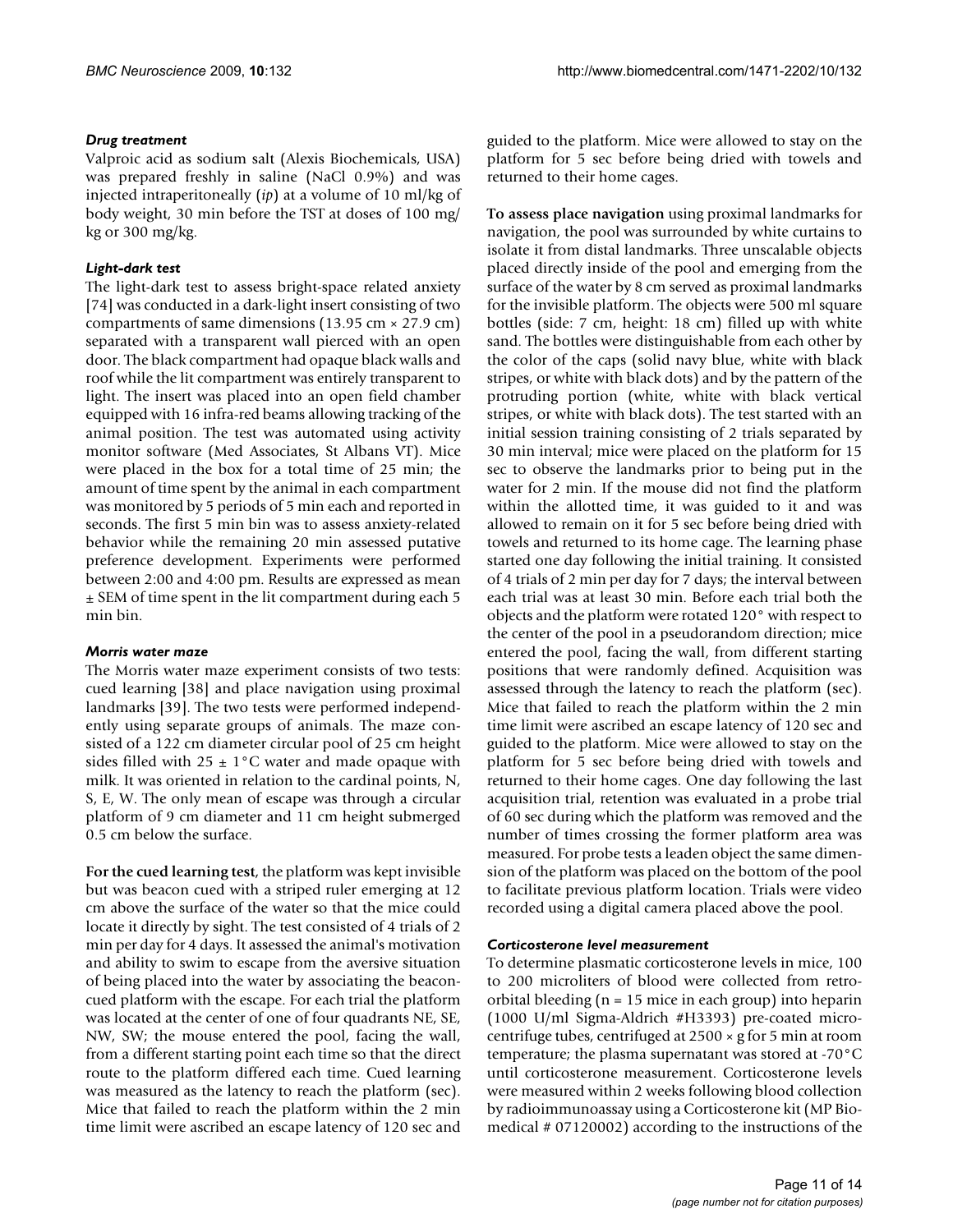# *Drug treatment*

Valproic acid as sodium salt (Alexis Biochemicals, USA) was prepared freshly in saline (NaCl 0.9%) and was injected intraperitoneally (*ip*) at a volume of 10 ml/kg of body weight, 30 min before the TST at doses of 100 mg/ kg or 300 mg/kg.

# *Light-dark test*

The light-dark test to assess bright-space related anxiety [74] was conducted in a dark-light insert consisting of two compartments of same dimensions  $(13.95 \text{ cm} \times 27.9 \text{ cm})$ separated with a transparent wall pierced with an open door. The black compartment had opaque black walls and roof while the lit compartment was entirely transparent to light. The insert was placed into an open field chamber equipped with 16 infra-red beams allowing tracking of the animal position. The test was automated using activity monitor software (Med Associates, St Albans VT). Mice were placed in the box for a total time of 25 min; the amount of time spent by the animal in each compartment was monitored by 5 periods of 5 min each and reported in seconds. The first 5 min bin was to assess anxiety-related behavior while the remaining 20 min assessed putative preference development. Experiments were performed between 2:00 and 4:00 pm. Results are expressed as mean ± SEM of time spent in the lit compartment during each 5 min bin.

#### *Morris water maze*

The Morris water maze experiment consists of two tests: cued learning [38] and place navigation using proximal landmarks [39]. The two tests were performed independently using separate groups of animals. The maze consisted of a 122 cm diameter circular pool of 25 cm height sides filled with  $25 \pm 1$ °C water and made opaque with milk. It was oriented in relation to the cardinal points, N, S, E, W. The only mean of escape was through a circular platform of 9 cm diameter and 11 cm height submerged 0.5 cm below the surface.

**For the cued learning test**, the platform was kept invisible but was beacon cued with a striped ruler emerging at 12 cm above the surface of the water so that the mice could locate it directly by sight. The test consisted of 4 trials of 2 min per day for 4 days. It assessed the animal's motivation and ability to swim to escape from the aversive situation of being placed into the water by associating the beaconcued platform with the escape. For each trial the platform was located at the center of one of four quadrants NE, SE, NW, SW; the mouse entered the pool, facing the wall, from a different starting point each time so that the direct route to the platform differed each time. Cued learning was measured as the latency to reach the platform (sec). Mice that failed to reach the platform within the 2 min time limit were ascribed an escape latency of 120 sec and

guided to the platform. Mice were allowed to stay on the platform for 5 sec before being dried with towels and returned to their home cages.

**To assess place navigation** using proximal landmarks for navigation, the pool was surrounded by white curtains to isolate it from distal landmarks. Three unscalable objects placed directly inside of the pool and emerging from the surface of the water by 8 cm served as proximal landmarks for the invisible platform. The objects were 500 ml square bottles (side: 7 cm, height: 18 cm) filled up with white sand. The bottles were distinguishable from each other by the color of the caps (solid navy blue, white with black stripes, or white with black dots) and by the pattern of the protruding portion (white, white with black vertical stripes, or white with black dots). The test started with an initial session training consisting of 2 trials separated by 30 min interval; mice were placed on the platform for 15 sec to observe the landmarks prior to being put in the water for 2 min. If the mouse did not find the platform within the allotted time, it was guided to it and was allowed to remain on it for 5 sec before being dried with towels and returned to its home cage. The learning phase started one day following the initial training. It consisted of 4 trials of 2 min per day for 7 days; the interval between each trial was at least 30 min. Before each trial both the objects and the platform were rotated 120° with respect to the center of the pool in a pseudorandom direction; mice entered the pool, facing the wall, from different starting positions that were randomly defined. Acquisition was assessed through the latency to reach the platform (sec). Mice that failed to reach the platform within the 2 min time limit were ascribed an escape latency of 120 sec and guided to the platform. Mice were allowed to stay on the platform for 5 sec before being dried with towels and returned to their home cages. One day following the last acquisition trial, retention was evaluated in a probe trial of 60 sec during which the platform was removed and the number of times crossing the former platform area was measured. For probe tests a leaden object the same dimension of the platform was placed on the bottom of the pool to facilitate previous platform location. Trials were video recorded using a digital camera placed above the pool.

#### *Corticosterone level measurement*

To determine plasmatic corticosterone levels in mice, 100 to 200 microliters of blood were collected from retroorbital bleeding (n = 15 mice in each group) into heparin (1000 U/ml Sigma-Aldrich #H3393) pre-coated microcentrifuge tubes, centrifuged at 2500 × g for 5 min at room temperature; the plasma supernatant was stored at -70°C until corticosterone measurement. Corticosterone levels were measured within 2 weeks following blood collection by radioimmunoassay using a Corticosterone kit (MP Biomedical # 07120002) according to the instructions of the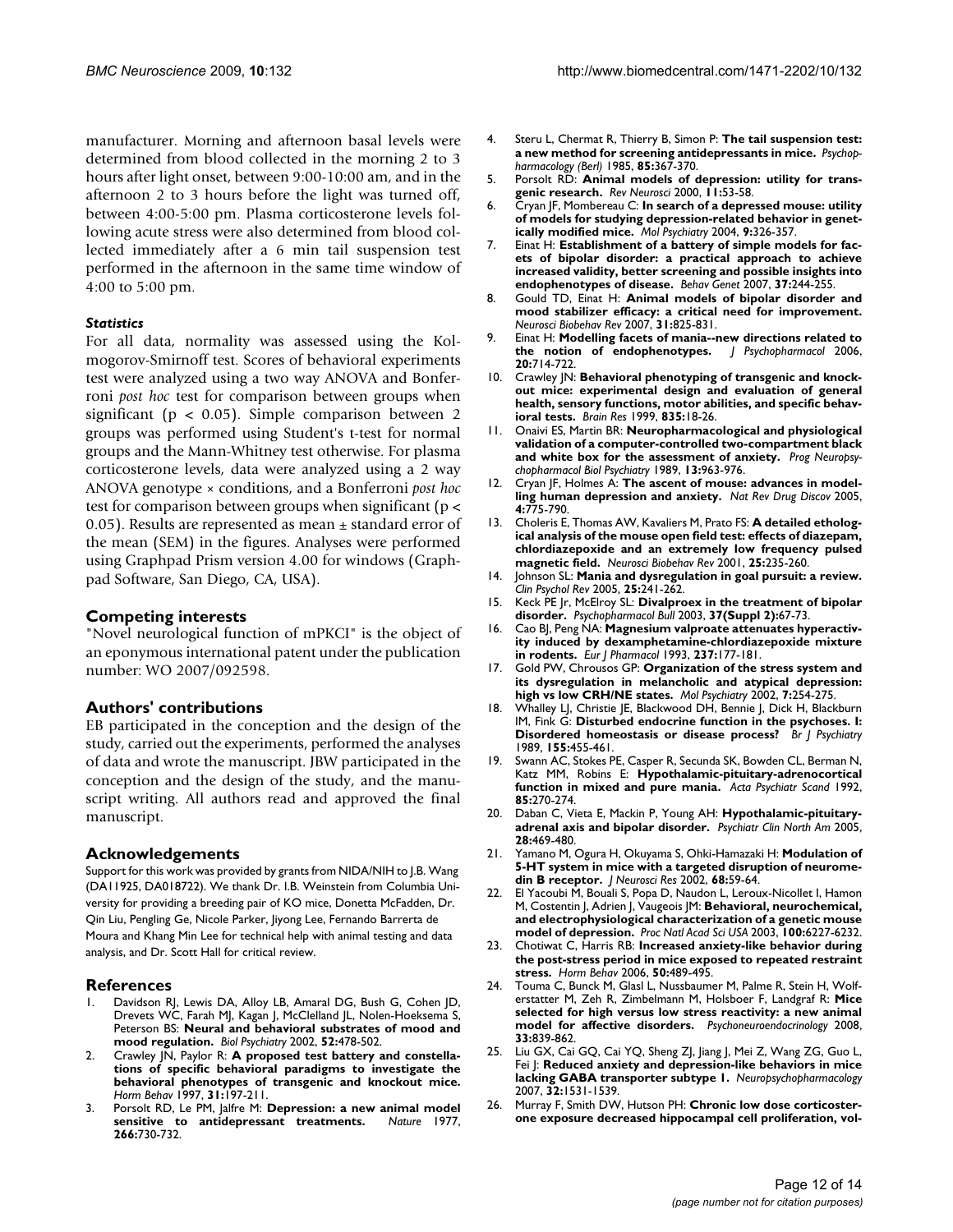manufacturer. Morning and afternoon basal levels were determined from blood collected in the morning 2 to 3 hours after light onset, between 9:00-10:00 am, and in the afternoon 2 to 3 hours before the light was turned off, between 4:00-5:00 pm. Plasma corticosterone levels following acute stress were also determined from blood collected immediately after a 6 min tail suspension test performed in the afternoon in the same time window of 4:00 to 5:00 pm.

#### *Statistics*

For all data, normality was assessed using the Kolmogorov-Smirnoff test. Scores of behavioral experiments test were analyzed using a two way ANOVA and Bonferroni *post hoc* test for comparison between groups when significant ( $p < 0.05$ ). Simple comparison between 2 groups was performed using Student's t-test for normal groups and the Mann-Whitney test otherwise. For plasma corticosterone levels, data were analyzed using a 2 way ANOVA genotype × conditions, and a Bonferroni *post hoc* test for comparison between groups when significant (p < 0.05). Results are represented as mean  $\pm$  standard error of the mean (SEM) in the figures. Analyses were performed using Graphpad Prism version 4.00 for windows (Graphpad Software, San Diego, CA, USA).

#### **Competing interests**

"Novel neurological function of mPKCI" is the object of an eponymous international patent under the publication number: WO 2007/092598.

#### **Authors' contributions**

EB participated in the conception and the design of the study, carried out the experiments, performed the analyses of data and wrote the manuscript. JBW participated in the conception and the design of the study, and the manuscript writing. All authors read and approved the final manuscript.

#### **Acknowledgements**

Support for this work was provided by grants from NIDA/NIH to J.B. Wang (DA11925, DA018722). We thank Dr. I.B. Weinstein from Columbia University for providing a breeding pair of KO mice, Donetta McFadden, Dr. Qin Liu, Pengling Ge, Nicole Parker, Jiyong Lee, Fernando Barrerta de Moura and Khang Min Lee for technical help with animal testing and data analysis, and Dr. Scott Hall for critical review.

#### **References**

- 1. Davidson RJ, Lewis DA, Alloy LB, Amaral DG, Bush G, Cohen JD, Drevets WC, Farah MJ, Kagan J, McClelland JL, Nolen-Hoeksema S, Peterson BS: **[Neural and behavioral substrates of mood and](http://www.ncbi.nlm.nih.gov/entrez/query.fcgi?cmd=Retrieve&db=PubMed&dopt=Abstract&list_uids=12361665) [mood regulation.](http://www.ncbi.nlm.nih.gov/entrez/query.fcgi?cmd=Retrieve&db=PubMed&dopt=Abstract&list_uids=12361665)** *Biol Psychiatry* 2002, **52:**478-502.
- Crawley JN, Paylor R: [A proposed test battery and constella](http://www.ncbi.nlm.nih.gov/entrez/query.fcgi?cmd=Retrieve&db=PubMed&dopt=Abstract&list_uids=9213134)**[tions of specific behavioral paradigms to investigate the](http://www.ncbi.nlm.nih.gov/entrez/query.fcgi?cmd=Retrieve&db=PubMed&dopt=Abstract&list_uids=9213134) behavioral phenotypes of transgenic and knockout mice.** *Horm Behav* 1997, **31:**197-211.
- 3. Porsolt RD, Le PM, Jalfre M: **[Depression: a new animal model](http://www.ncbi.nlm.nih.gov/entrez/query.fcgi?cmd=Retrieve&db=PubMed&dopt=Abstract&list_uids=559941) [sensitive to antidepressant treatments.](http://www.ncbi.nlm.nih.gov/entrez/query.fcgi?cmd=Retrieve&db=PubMed&dopt=Abstract&list_uids=559941)** *Nature* 1977, **266:**730-732.
- 4. Steru L, Chermat R, Thierry B, Simon P: **[The tail suspension test:](http://www.ncbi.nlm.nih.gov/entrez/query.fcgi?cmd=Retrieve&db=PubMed&dopt=Abstract&list_uids=3923523) [a new method for screening antidepressants in mice.](http://www.ncbi.nlm.nih.gov/entrez/query.fcgi?cmd=Retrieve&db=PubMed&dopt=Abstract&list_uids=3923523)** *Psychopharmacology (Berl)* 1985, **85:**367-370.
- 5. Porsolt RD: **[Animal models of depression: utility for trans](http://www.ncbi.nlm.nih.gov/entrez/query.fcgi?cmd=Retrieve&db=PubMed&dopt=Abstract&list_uids=10716655)[genic research.](http://www.ncbi.nlm.nih.gov/entrez/query.fcgi?cmd=Retrieve&db=PubMed&dopt=Abstract&list_uids=10716655)** *Rev Neurosci* 2000, **11:**53-58.
- 6. Cryan JF, Mombereau C: **[In search of a depressed mouse: utility](http://www.ncbi.nlm.nih.gov/entrez/query.fcgi?cmd=Retrieve&db=PubMed&dopt=Abstract&list_uids=14743184) [of models for studying depression-related behavior in genet](http://www.ncbi.nlm.nih.gov/entrez/query.fcgi?cmd=Retrieve&db=PubMed&dopt=Abstract&list_uids=14743184)[ically modified mice.](http://www.ncbi.nlm.nih.gov/entrez/query.fcgi?cmd=Retrieve&db=PubMed&dopt=Abstract&list_uids=14743184)** *Mol Psychiatry* 2004, **9:**326-357.
- 7. Einat H: **[Establishment of a battery of simple models for fac](http://www.ncbi.nlm.nih.gov/entrez/query.fcgi?cmd=Retrieve&db=PubMed&dopt=Abstract&list_uids=16865528)[ets of bipolar disorder: a practical approach to achieve](http://www.ncbi.nlm.nih.gov/entrez/query.fcgi?cmd=Retrieve&db=PubMed&dopt=Abstract&list_uids=16865528) increased validity, better screening and possible insights into [endophenotypes of disease.](http://www.ncbi.nlm.nih.gov/entrez/query.fcgi?cmd=Retrieve&db=PubMed&dopt=Abstract&list_uids=16865528)** *Behav Genet* 2007, **37:**244-255.
- 8. Gould TD, Einat H: **[Animal models of bipolar disorder and](http://www.ncbi.nlm.nih.gov/entrez/query.fcgi?cmd=Retrieve&db=PubMed&dopt=Abstract&list_uids=17628675) [mood stabilizer efficacy: a critical need for improvement.](http://www.ncbi.nlm.nih.gov/entrez/query.fcgi?cmd=Retrieve&db=PubMed&dopt=Abstract&list_uids=17628675)** *Neurosci Biobehav Rev* 2007, **31:**825-831.
- 9. Einat H: **[Modelling facets of mania--new directions related to](http://www.ncbi.nlm.nih.gov/entrez/query.fcgi?cmd=Retrieve&db=PubMed&dopt=Abstract&list_uids=16401660)** [the notion of endophenotypes.](http://www.ncbi.nlm.nih.gov/entrez/query.fcgi?cmd=Retrieve&db=PubMed&dopt=Abstract&list_uids=16401660) **20:**714-722.
- 10. Crawley JN: **[Behavioral phenotyping of transgenic and knock](http://www.ncbi.nlm.nih.gov/entrez/query.fcgi?cmd=Retrieve&db=PubMed&dopt=Abstract&list_uids=10448192)[out mice: experimental design and evaluation of general](http://www.ncbi.nlm.nih.gov/entrez/query.fcgi?cmd=Retrieve&db=PubMed&dopt=Abstract&list_uids=10448192) health, sensory functions, motor abilities, and specific behav[ioral tests.](http://www.ncbi.nlm.nih.gov/entrez/query.fcgi?cmd=Retrieve&db=PubMed&dopt=Abstract&list_uids=10448192)** *Brain Res* 1999, **835:**18-26.
- 11. Onaivi ES, Martin BR: **[Neuropharmacological and physiological](http://www.ncbi.nlm.nih.gov/entrez/query.fcgi?cmd=Retrieve&db=PubMed&dopt=Abstract&list_uids=2573111) [validation of a computer-controlled two-compartment black](http://www.ncbi.nlm.nih.gov/entrez/query.fcgi?cmd=Retrieve&db=PubMed&dopt=Abstract&list_uids=2573111) [and white box for the assessment of anxiety.](http://www.ncbi.nlm.nih.gov/entrez/query.fcgi?cmd=Retrieve&db=PubMed&dopt=Abstract&list_uids=2573111)** *Prog Neuropsychopharmacol Biol Psychiatry* 1989, **13:**963-976.
- 12. Cryan JF, Holmes A: **[The ascent of mouse: advances in model](http://www.ncbi.nlm.nih.gov/entrez/query.fcgi?cmd=Retrieve&db=PubMed&dopt=Abstract&list_uids=16138108)[ling human depression and anxiety.](http://www.ncbi.nlm.nih.gov/entrez/query.fcgi?cmd=Retrieve&db=PubMed&dopt=Abstract&list_uids=16138108)** *Nat Rev Drug Discov* 2005, **4:**775-790.
- 13. Choleris E, Thomas AW, Kavaliers M, Prato FS: **[A detailed etholog](http://www.ncbi.nlm.nih.gov/entrez/query.fcgi?cmd=Retrieve&db=PubMed&dopt=Abstract&list_uids=11378179)[ical analysis of the mouse open field test: effects of diazepam,](http://www.ncbi.nlm.nih.gov/entrez/query.fcgi?cmd=Retrieve&db=PubMed&dopt=Abstract&list_uids=11378179) chlordiazepoxide and an extremely low frequency pulsed [magnetic field.](http://www.ncbi.nlm.nih.gov/entrez/query.fcgi?cmd=Retrieve&db=PubMed&dopt=Abstract&list_uids=11378179)** *Neurosci Biobehav Rev* 2001, **25:**235-260.
- 14. Johnson SL: **[Mania and dysregulation in goal pursuit: a review.](http://www.ncbi.nlm.nih.gov/entrez/query.fcgi?cmd=Retrieve&db=PubMed&dopt=Abstract&list_uids=15642648)** *Clin Psychol Rev* 2005, **25:**241-262.
- 15. Keck PE Jr, McElroy SL: **[Divalproex in the treatment of bipolar](http://www.ncbi.nlm.nih.gov/entrez/query.fcgi?cmd=Retrieve&db=PubMed&dopt=Abstract&list_uids=15021862) [disorder.](http://www.ncbi.nlm.nih.gov/entrez/query.fcgi?cmd=Retrieve&db=PubMed&dopt=Abstract&list_uids=15021862)** *Psychopharmacol Bull* 2003, **37(Suppl 2):**67-73.
- 16. Cao BJ, Peng NA: **[Magnesium valproate attenuates hyperactiv](http://www.ncbi.nlm.nih.gov/entrez/query.fcgi?cmd=Retrieve&db=PubMed&dopt=Abstract&list_uids=8103460)[ity induced by dexamphetamine-chlordiazepoxide mixture](http://www.ncbi.nlm.nih.gov/entrez/query.fcgi?cmd=Retrieve&db=PubMed&dopt=Abstract&list_uids=8103460) [in rodents.](http://www.ncbi.nlm.nih.gov/entrez/query.fcgi?cmd=Retrieve&db=PubMed&dopt=Abstract&list_uids=8103460)** *Eur J Pharmacol* 1993, **237:**177-181.
- 17. Gold PW, Chrousos GP: **[Organization of the stress system and](http://www.ncbi.nlm.nih.gov/entrez/query.fcgi?cmd=Retrieve&db=PubMed&dopt=Abstract&list_uids=11920153) [its dysregulation in melancholic and atypical depression:](http://www.ncbi.nlm.nih.gov/entrez/query.fcgi?cmd=Retrieve&db=PubMed&dopt=Abstract&list_uids=11920153) [high vs low CRH/NE states.](http://www.ncbi.nlm.nih.gov/entrez/query.fcgi?cmd=Retrieve&db=PubMed&dopt=Abstract&list_uids=11920153)** *Mol Psychiatry* 2002, **7:**254-275.
- 18. Whalley LJ, Christie JE, Blackwood DH, Bennie J, Dick H, Blackburn IM, Fink G: **[Disturbed endocrine function in the psychoses. I:](http://www.ncbi.nlm.nih.gov/entrez/query.fcgi?cmd=Retrieve&db=PubMed&dopt=Abstract&list_uids=2611570) [Disordered homeostasis or disease process?](http://www.ncbi.nlm.nih.gov/entrez/query.fcgi?cmd=Retrieve&db=PubMed&dopt=Abstract&list_uids=2611570)** *Br J Psychiatry* 1989, **155:**455-461.
- 19. Swann AC, Stokes PE, Casper R, Secunda SK, Bowden CL, Berman N, Katz MM, Robins E: **[Hypothalamic-pituitary-adrenocortical](http://www.ncbi.nlm.nih.gov/entrez/query.fcgi?cmd=Retrieve&db=PubMed&dopt=Abstract&list_uids=1595360) [function in mixed and pure mania.](http://www.ncbi.nlm.nih.gov/entrez/query.fcgi?cmd=Retrieve&db=PubMed&dopt=Abstract&list_uids=1595360)** *Acta Psychiatr Scand* 1992, **85:**270-274.
- 20. Daban C, Vieta E, Mackin P, Young AH: **[Hypothalamic-pituitary](http://www.ncbi.nlm.nih.gov/entrez/query.fcgi?cmd=Retrieve&db=PubMed&dopt=Abstract&list_uids=15826743)[adrenal axis and bipolar disorder.](http://www.ncbi.nlm.nih.gov/entrez/query.fcgi?cmd=Retrieve&db=PubMed&dopt=Abstract&list_uids=15826743)** *Psychiatr Clin North Am* 2005, **28:**469-480.
- 21. Yamano M, Ogura H, Okuyama S, Ohki-Hamazaki H: **[Modulation of](http://www.ncbi.nlm.nih.gov/entrez/query.fcgi?cmd=Retrieve&db=PubMed&dopt=Abstract&list_uids=11933049) [5-HT system in mice with a targeted disruption of neurome](http://www.ncbi.nlm.nih.gov/entrez/query.fcgi?cmd=Retrieve&db=PubMed&dopt=Abstract&list_uids=11933049)[din B receptor.](http://www.ncbi.nlm.nih.gov/entrez/query.fcgi?cmd=Retrieve&db=PubMed&dopt=Abstract&list_uids=11933049)** *J Neurosci Res* 2002, **68:**59-64.
- 22. El Yacoubi M, Bouali S, Popa D, Naudon L, Leroux-Nicollet I, Hamon M, Costentin J, Adrien J, Vaugeois JM: **[Behavioral, neurochemical,](http://www.ncbi.nlm.nih.gov/entrez/query.fcgi?cmd=Retrieve&db=PubMed&dopt=Abstract&list_uids=12732720) [and electrophysiological characterization of a genetic mouse](http://www.ncbi.nlm.nih.gov/entrez/query.fcgi?cmd=Retrieve&db=PubMed&dopt=Abstract&list_uids=12732720) [model of depression.](http://www.ncbi.nlm.nih.gov/entrez/query.fcgi?cmd=Retrieve&db=PubMed&dopt=Abstract&list_uids=12732720)** *Proc Natl Acad Sci USA* 2003, **100:**6227-6232.
- 23. Chotiwat C, Harris RB: **[Increased anxiety-like behavior during](http://www.ncbi.nlm.nih.gov/entrez/query.fcgi?cmd=Retrieve&db=PubMed&dopt=Abstract&list_uids=16870191) [the post-stress period in mice exposed to repeated restraint](http://www.ncbi.nlm.nih.gov/entrez/query.fcgi?cmd=Retrieve&db=PubMed&dopt=Abstract&list_uids=16870191) [stress.](http://www.ncbi.nlm.nih.gov/entrez/query.fcgi?cmd=Retrieve&db=PubMed&dopt=Abstract&list_uids=16870191)** *Horm Behav* 2006, **50:**489-495.
- 24. Touma C, Bunck M, Glasl L, Nussbaumer M, Palme R, Stein H, Wolferstatter M, Zeh R, Zimbelmann M, Holsboer F, Landgraf R: **[Mice](http://www.ncbi.nlm.nih.gov/entrez/query.fcgi?cmd=Retrieve&db=PubMed&dopt=Abstract&list_uids=18502051) [selected for high versus low stress reactivity: a new animal](http://www.ncbi.nlm.nih.gov/entrez/query.fcgi?cmd=Retrieve&db=PubMed&dopt=Abstract&list_uids=18502051) [model for affective disorders.](http://www.ncbi.nlm.nih.gov/entrez/query.fcgi?cmd=Retrieve&db=PubMed&dopt=Abstract&list_uids=18502051)** *Psychoneuroendocrinology* 2008, **33:**839-862.
- 25. Liu GX, Cai GQ, Cai YQ, Sheng ZJ, Jiang J, Mei Z, Wang ZG, Guo L, Fei J: **[Reduced anxiety and depression-like behaviors in mice](http://www.ncbi.nlm.nih.gov/entrez/query.fcgi?cmd=Retrieve&db=PubMed&dopt=Abstract&list_uids=17164814) [lacking GABA transporter subtype 1.](http://www.ncbi.nlm.nih.gov/entrez/query.fcgi?cmd=Retrieve&db=PubMed&dopt=Abstract&list_uids=17164814)** *Neuropsychopharmacology* 2007, **32:**1531-1539.
- 26. Murray F, Smith DW, Hutson PH: **[Chronic low dose corticoster](http://www.ncbi.nlm.nih.gov/entrez/query.fcgi?cmd=Retrieve&db=PubMed&dopt=Abstract&list_uids=18289522)[one exposure decreased hippocampal cell proliferation, vol](http://www.ncbi.nlm.nih.gov/entrez/query.fcgi?cmd=Retrieve&db=PubMed&dopt=Abstract&list_uids=18289522)-**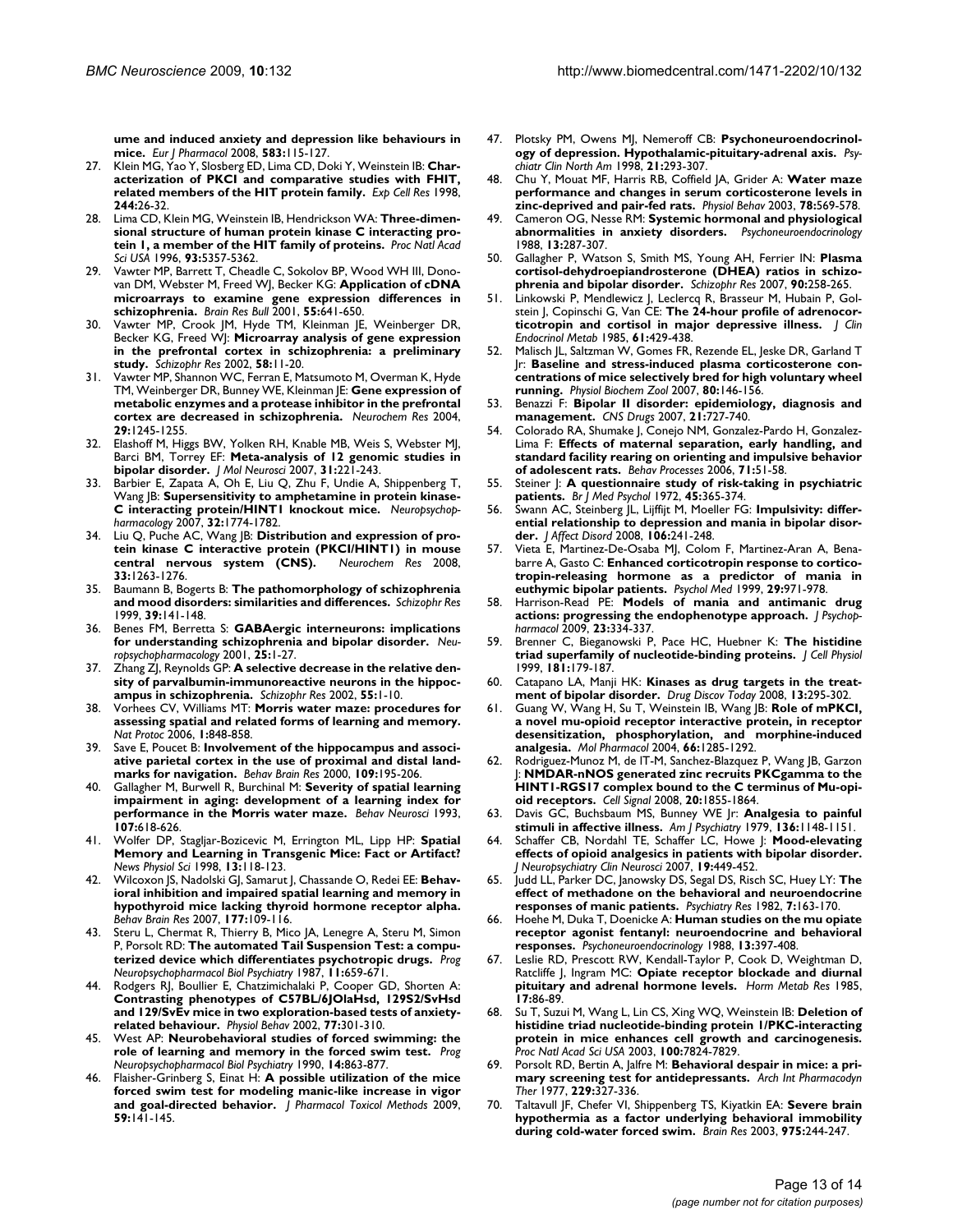**[ume and induced anxiety and depression like behaviours in](http://www.ncbi.nlm.nih.gov/entrez/query.fcgi?cmd=Retrieve&db=PubMed&dopt=Abstract&list_uids=18289522) [mice.](http://www.ncbi.nlm.nih.gov/entrez/query.fcgi?cmd=Retrieve&db=PubMed&dopt=Abstract&list_uids=18289522)** *Eur J Pharmacol* 2008, **583:**115-127.

- 27. Klein MG, Yao Y, Slosberg ED, Lima CD, Doki Y, Weinstein IB: **[Char](http://www.ncbi.nlm.nih.gov/entrez/query.fcgi?cmd=Retrieve&db=PubMed&dopt=Abstract&list_uids=9770345)[acterization of PKCI and comparative studies with FHIT,](http://www.ncbi.nlm.nih.gov/entrez/query.fcgi?cmd=Retrieve&db=PubMed&dopt=Abstract&list_uids=9770345) [related members of the HIT protein family.](http://www.ncbi.nlm.nih.gov/entrez/query.fcgi?cmd=Retrieve&db=PubMed&dopt=Abstract&list_uids=9770345)** *Exp Cell Res* 1998, **244:**26-32.
- 28. Lima CD, Klein MG, Weinstein IB, Hendrickson WA: **[Three-dimen](http://www.ncbi.nlm.nih.gov/entrez/query.fcgi?cmd=Retrieve&db=PubMed&dopt=Abstract&list_uids=8643579)[sional structure of human protein kinase C interacting pro](http://www.ncbi.nlm.nih.gov/entrez/query.fcgi?cmd=Retrieve&db=PubMed&dopt=Abstract&list_uids=8643579)[tein 1, a member of the HIT family of proteins.](http://www.ncbi.nlm.nih.gov/entrez/query.fcgi?cmd=Retrieve&db=PubMed&dopt=Abstract&list_uids=8643579)** *Proc Natl Acad Sci USA* 1996, **93:**5357-5362.
- 29. Vawter MP, Barrett T, Cheadle C, Sokolov BP, Wood WH III, Donovan DM, Webster M, Freed WJ, Becker KG: **[Application of cDNA](http://www.ncbi.nlm.nih.gov/entrez/query.fcgi?cmd=Retrieve&db=PubMed&dopt=Abstract&list_uids=11576761) [microarrays to examine gene expression differences in](http://www.ncbi.nlm.nih.gov/entrez/query.fcgi?cmd=Retrieve&db=PubMed&dopt=Abstract&list_uids=11576761) [schizophrenia.](http://www.ncbi.nlm.nih.gov/entrez/query.fcgi?cmd=Retrieve&db=PubMed&dopt=Abstract&list_uids=11576761)** *Brain Res Bull* 2001, **55:**641-650.
- 30. Vawter MP, Crook JM, Hyde TM, Kleinman JE, Weinberger DR, Becker KG, Freed WJ: **[Microarray analysis of gene expression](http://www.ncbi.nlm.nih.gov/entrez/query.fcgi?cmd=Retrieve&db=PubMed&dopt=Abstract&list_uids=12363385) [in the prefrontal cortex in schizophrenia: a preliminary](http://www.ncbi.nlm.nih.gov/entrez/query.fcgi?cmd=Retrieve&db=PubMed&dopt=Abstract&list_uids=12363385) [study.](http://www.ncbi.nlm.nih.gov/entrez/query.fcgi?cmd=Retrieve&db=PubMed&dopt=Abstract&list_uids=12363385)** *Schizophr Res* 2002, **58:**11-20.
- 31. Vawter MP, Shannon WC, Ferran E, Matsumoto M, Overman K, Hyde TM, Weinberger DR, Bunney WE, Kleinman JE: **[Gene expression of](http://www.ncbi.nlm.nih.gov/entrez/query.fcgi?cmd=Retrieve&db=PubMed&dopt=Abstract&list_uids=15176481) [metabolic enzymes and a protease inhibitor in the prefrontal](http://www.ncbi.nlm.nih.gov/entrez/query.fcgi?cmd=Retrieve&db=PubMed&dopt=Abstract&list_uids=15176481) [cortex are decreased in schizophrenia.](http://www.ncbi.nlm.nih.gov/entrez/query.fcgi?cmd=Retrieve&db=PubMed&dopt=Abstract&list_uids=15176481)** *Neurochem Res* 2004, **29:**1245-1255.
- 32. Elashoff M, Higgs BW, Yolken RH, Knable MB, Weis S, Webster MJ, Barci BM, Torrey EF: **[Meta-analysis of 12 genomic studies in](http://www.ncbi.nlm.nih.gov/entrez/query.fcgi?cmd=Retrieve&db=PubMed&dopt=Abstract&list_uids=17726228) [bipolar disorder.](http://www.ncbi.nlm.nih.gov/entrez/query.fcgi?cmd=Retrieve&db=PubMed&dopt=Abstract&list_uids=17726228)** *J Mol Neurosci* 2007, **31:**221-243.
- Barbier E, Zapata A, Oh E, Liu Q, Zhu F, Undie A, Shippenberg T, Wang JB: **[Supersensitivity to amphetamine in protein kinase-](http://www.ncbi.nlm.nih.gov/entrez/query.fcgi?cmd=Retrieve&db=PubMed&dopt=Abstract&list_uids=17203012)[C interacting protein/HINT1 knockout mice.](http://www.ncbi.nlm.nih.gov/entrez/query.fcgi?cmd=Retrieve&db=PubMed&dopt=Abstract&list_uids=17203012)** *Neuropsychopharmacology* 2007, **32:**1774-1782.
- 34. Liu Q, Puche AC, Wang JB: **[Distribution and expression of pro](http://www.ncbi.nlm.nih.gov/entrez/query.fcgi?cmd=Retrieve&db=PubMed&dopt=Abstract&list_uids=18270824)[tein kinase C interactive protein \(PKCI/HINT1\) in mouse](http://www.ncbi.nlm.nih.gov/entrez/query.fcgi?cmd=Retrieve&db=PubMed&dopt=Abstract&list_uids=18270824)** [central nervous system \(CNS\).](http://www.ncbi.nlm.nih.gov/entrez/query.fcgi?cmd=Retrieve&db=PubMed&dopt=Abstract&list_uids=18270824) **33:**1263-1276.
- 35. Baumann B, Bogerts B: **[The pathomorphology of schizophrenia](http://www.ncbi.nlm.nih.gov/entrez/query.fcgi?cmd=Retrieve&db=PubMed&dopt=Abstract&list_uids=10507525) [and mood disorders: similarities and differences.](http://www.ncbi.nlm.nih.gov/entrez/query.fcgi?cmd=Retrieve&db=PubMed&dopt=Abstract&list_uids=10507525)** *Schizophr Res* 1999, **39:**141-148.
- 36. Benes FM, Berretta S: **[GABAergic interneurons: implications](http://www.ncbi.nlm.nih.gov/entrez/query.fcgi?cmd=Retrieve&db=PubMed&dopt=Abstract&list_uids=11377916) [for understanding schizophrenia and bipolar disorder.](http://www.ncbi.nlm.nih.gov/entrez/query.fcgi?cmd=Retrieve&db=PubMed&dopt=Abstract&list_uids=11377916)** *Neuropsychopharmacology* 2001, **25:**1-27.
- 37. Zhang ZJ, Reynolds GP: **[A selective decrease in the relative den](http://www.ncbi.nlm.nih.gov/entrez/query.fcgi?cmd=Retrieve&db=PubMed&dopt=Abstract&list_uids=11955958)[sity of parvalbumin-immunoreactive neurons in the hippoc](http://www.ncbi.nlm.nih.gov/entrez/query.fcgi?cmd=Retrieve&db=PubMed&dopt=Abstract&list_uids=11955958)[ampus in schizophrenia.](http://www.ncbi.nlm.nih.gov/entrez/query.fcgi?cmd=Retrieve&db=PubMed&dopt=Abstract&list_uids=11955958)** *Schizophr Res* 2002, **55:**1-10.
- 38. Vorhees CV, Williams MT: **[Morris water maze: procedures for](http://www.ncbi.nlm.nih.gov/entrez/query.fcgi?cmd=Retrieve&db=PubMed&dopt=Abstract&list_uids=17406317) [assessing spatial and related forms of learning and memory.](http://www.ncbi.nlm.nih.gov/entrez/query.fcgi?cmd=Retrieve&db=PubMed&dopt=Abstract&list_uids=17406317)** *Nat Protoc* 2006, **1:**848-858.
- 39. Save E, Poucet B: **[Involvement of the hippocampus and associ](http://www.ncbi.nlm.nih.gov/entrez/query.fcgi?cmd=Retrieve&db=PubMed&dopt=Abstract&list_uids=10762689)[ative parietal cortex in the use of proximal and distal land](http://www.ncbi.nlm.nih.gov/entrez/query.fcgi?cmd=Retrieve&db=PubMed&dopt=Abstract&list_uids=10762689)[marks for navigation.](http://www.ncbi.nlm.nih.gov/entrez/query.fcgi?cmd=Retrieve&db=PubMed&dopt=Abstract&list_uids=10762689)** *Behav Brain Res* 2000, **109:**195-206.
- 40. Gallagher M, Burwell R, Burchinal M: **[Severity of spatial learning](http://www.ncbi.nlm.nih.gov/entrez/query.fcgi?cmd=Retrieve&db=PubMed&dopt=Abstract&list_uids=8397866) [impairment in aging: development of a learning index for](http://www.ncbi.nlm.nih.gov/entrez/query.fcgi?cmd=Retrieve&db=PubMed&dopt=Abstract&list_uids=8397866) [performance in the Morris water maze.](http://www.ncbi.nlm.nih.gov/entrez/query.fcgi?cmd=Retrieve&db=PubMed&dopt=Abstract&list_uids=8397866)** *Behav Neurosci* 1993, **107:**618-626.
- 41. Wolfer DP, Stagljar-Bozicevic M, Errington ML, Lipp HP: **[Spatial](http://www.ncbi.nlm.nih.gov/entrez/query.fcgi?cmd=Retrieve&db=PubMed&dopt=Abstract&list_uids=11390774) [Memory and Learning in Transgenic Mice: Fact or Artifact?](http://www.ncbi.nlm.nih.gov/entrez/query.fcgi?cmd=Retrieve&db=PubMed&dopt=Abstract&list_uids=11390774)** *News Physiol Sci* 1998, **13:**118-123.
- 42. Wilcoxon JS, Nadolski GJ, Samarut J, Chassande O, Redei EE: **[Behav](http://www.ncbi.nlm.nih.gov/entrez/query.fcgi?cmd=Retrieve&db=PubMed&dopt=Abstract&list_uids=17129617)[ioral inhibition and impaired spatial learning and memory in](http://www.ncbi.nlm.nih.gov/entrez/query.fcgi?cmd=Retrieve&db=PubMed&dopt=Abstract&list_uids=17129617) hypothyroid mice lacking thyroid hormone receptor alpha.** *Behav Brain Res* 2007, **177:**109-116.
- Steru L, Chermat R, Thierry B, Mico JA, Lenegre A, Steru M, Simon P, Porsolt RD: **[The automated Tail Suspension Test: a compu](http://www.ncbi.nlm.nih.gov/entrez/query.fcgi?cmd=Retrieve&db=PubMed&dopt=Abstract&list_uids=2894041)[terized device which differentiates psychotropic drugs.](http://www.ncbi.nlm.nih.gov/entrez/query.fcgi?cmd=Retrieve&db=PubMed&dopt=Abstract&list_uids=2894041)** *Prog Neuropsychopharmacol Biol Psychiatry* 1987, **11:**659-671.
- 44. Rodgers RJ, Boullier E, Chatzimichalaki P, Cooper GD, Shorten A: **[Contrasting phenotypes of C57BL/6JOlaHsd, 129S2/SvHsd](http://www.ncbi.nlm.nih.gov/entrez/query.fcgi?cmd=Retrieve&db=PubMed&dopt=Abstract&list_uids=12419406) and 129/SvEv mice in two exploration-based tests of anxiety[related behaviour.](http://www.ncbi.nlm.nih.gov/entrez/query.fcgi?cmd=Retrieve&db=PubMed&dopt=Abstract&list_uids=12419406)** *Physiol Behav* 2002, **77:**301-310.
- 45. West AP: **[Neurobehavioral studies of forced swimming: the](http://www.ncbi.nlm.nih.gov/entrez/query.fcgi?cmd=Retrieve&db=PubMed&dopt=Abstract&list_uids=2277851) [role of learning and memory in the forced swim test.](http://www.ncbi.nlm.nih.gov/entrez/query.fcgi?cmd=Retrieve&db=PubMed&dopt=Abstract&list_uids=2277851)** *Prog Neuropsychopharmacol Biol Psychiatry* 1990, **14:**863-877.
- 46. Flaisher-Grinberg S, Einat H: **[A possible utilization of the mice](http://www.ncbi.nlm.nih.gov/entrez/query.fcgi?cmd=Retrieve&db=PubMed&dopt=Abstract&list_uids=19341808) [forced swim test for modeling manic-like increase in vigor](http://www.ncbi.nlm.nih.gov/entrez/query.fcgi?cmd=Retrieve&db=PubMed&dopt=Abstract&list_uids=19341808) [and goal-directed behavior.](http://www.ncbi.nlm.nih.gov/entrez/query.fcgi?cmd=Retrieve&db=PubMed&dopt=Abstract&list_uids=19341808)** *J Pharmacol Toxicol Methods* 2009, **59:**141-145.
- 47. Plotsky PM, Owens MJ, Nemeroff CB: **[Psychoneuroendocrinol](http://www.ncbi.nlm.nih.gov/entrez/query.fcgi?cmd=Retrieve&db=PubMed&dopt=Abstract&list_uids=9670227)[ogy of depression. Hypothalamic-pituitary-adrenal axis.](http://www.ncbi.nlm.nih.gov/entrez/query.fcgi?cmd=Retrieve&db=PubMed&dopt=Abstract&list_uids=9670227)** *Psychiatr Clin North Am* 1998, **21:**293-307.
- 48. Chu Y, Mouat MF, Harris RB, Coffield JA, Grider A: **[Water maze](http://www.ncbi.nlm.nih.gov/entrez/query.fcgi?cmd=Retrieve&db=PubMed&dopt=Abstract&list_uids=12782210) [performance and changes in serum corticosterone levels in](http://www.ncbi.nlm.nih.gov/entrez/query.fcgi?cmd=Retrieve&db=PubMed&dopt=Abstract&list_uids=12782210) [zinc-deprived and pair-fed rats.](http://www.ncbi.nlm.nih.gov/entrez/query.fcgi?cmd=Retrieve&db=PubMed&dopt=Abstract&list_uids=12782210)** *Physiol Behav* 2003, **78:**569-578.
- 49. Cameron OG, Nesse RM: **[Systemic hormonal and physiological](http://www.ncbi.nlm.nih.gov/entrez/query.fcgi?cmd=Retrieve&db=PubMed&dopt=Abstract&list_uids=2906440) [abnormalities in anxiety disorders.](http://www.ncbi.nlm.nih.gov/entrez/query.fcgi?cmd=Retrieve&db=PubMed&dopt=Abstract&list_uids=2906440)** *Psychoneuroendocrinology* 1988, **13:**287-307.
- 50. Gallagher P, Watson S, Smith MS, Young AH, Ferrier IN: **[Plasma](http://www.ncbi.nlm.nih.gov/entrez/query.fcgi?cmd=Retrieve&db=PubMed&dopt=Abstract&list_uids=17222537) [cortisol-dehydroepiandrosterone \(DHEA\) ratios in schizo](http://www.ncbi.nlm.nih.gov/entrez/query.fcgi?cmd=Retrieve&db=PubMed&dopt=Abstract&list_uids=17222537)[phrenia and bipolar disorder.](http://www.ncbi.nlm.nih.gov/entrez/query.fcgi?cmd=Retrieve&db=PubMed&dopt=Abstract&list_uids=17222537)** *Schizophr Res* 2007, **90:**258-265.
- 51. Linkowski P, Mendlewicz J, Leclercq R, Brasseur M, Hubain P, Golstein J, Copinschi G, Van CE: **[The 24-hour profile of adrenocor](http://www.ncbi.nlm.nih.gov/entrez/query.fcgi?cmd=Retrieve&db=PubMed&dopt=Abstract&list_uids=2991318)[ticotropin and cortisol in major depressive illness.](http://www.ncbi.nlm.nih.gov/entrez/query.fcgi?cmd=Retrieve&db=PubMed&dopt=Abstract&list_uids=2991318)** *J Clin Endocrinol Metab* 1985, **61:**429-438.
- Malisch JL, Saltzman W, Gomes FR, Rezende EL, Jeske DR, Garland T Jr: **[Baseline and stress-induced plasma corticosterone con](http://www.ncbi.nlm.nih.gov/entrez/query.fcgi?cmd=Retrieve&db=PubMed&dopt=Abstract&list_uids=17160887)[centrations of mice selectively bred for high voluntary wheel](http://www.ncbi.nlm.nih.gov/entrez/query.fcgi?cmd=Retrieve&db=PubMed&dopt=Abstract&list_uids=17160887) [running.](http://www.ncbi.nlm.nih.gov/entrez/query.fcgi?cmd=Retrieve&db=PubMed&dopt=Abstract&list_uids=17160887)** *Physiol Biochem Zool* 2007, **80:**146-156.
- 53. Benazzi F: **[Bipolar II disorder: epidemiology, diagnosis and](http://www.ncbi.nlm.nih.gov/entrez/query.fcgi?cmd=Retrieve&db=PubMed&dopt=Abstract&list_uids=17696573) [management.](http://www.ncbi.nlm.nih.gov/entrez/query.fcgi?cmd=Retrieve&db=PubMed&dopt=Abstract&list_uids=17696573)** *CNS Drugs* 2007, **21:**727-740.
- Colorado RA, Shumake J, Conejo NM, Gonzalez-Pardo H, Gonzalez-Lima F: **[Effects of maternal separation, early handling, and](http://www.ncbi.nlm.nih.gov/entrez/query.fcgi?cmd=Retrieve&db=PubMed&dopt=Abstract&list_uids=16242858) [standard facility rearing on orienting and impulsive behavior](http://www.ncbi.nlm.nih.gov/entrez/query.fcgi?cmd=Retrieve&db=PubMed&dopt=Abstract&list_uids=16242858) [of adolescent rats.](http://www.ncbi.nlm.nih.gov/entrez/query.fcgi?cmd=Retrieve&db=PubMed&dopt=Abstract&list_uids=16242858)** *Behav Processes* 2006, **71:**51-58.
- 55. Steiner J: **[A questionnaire study of risk-taking in psychiatric](http://www.ncbi.nlm.nih.gov/entrez/query.fcgi?cmd=Retrieve&db=PubMed&dopt=Abstract&list_uids=4680581) [patients.](http://www.ncbi.nlm.nih.gov/entrez/query.fcgi?cmd=Retrieve&db=PubMed&dopt=Abstract&list_uids=4680581)** *Br J Med Psychol* 1972, **45:**365-374.
- 56. Swann AC, Steinberg JL, Lijffijt M, Moeller FG: **[Impulsivity: differ](http://www.ncbi.nlm.nih.gov/entrez/query.fcgi?cmd=Retrieve&db=PubMed&dopt=Abstract&list_uids=17822778)[ential relationship to depression and mania in bipolar disor](http://www.ncbi.nlm.nih.gov/entrez/query.fcgi?cmd=Retrieve&db=PubMed&dopt=Abstract&list_uids=17822778)[der.](http://www.ncbi.nlm.nih.gov/entrez/query.fcgi?cmd=Retrieve&db=PubMed&dopt=Abstract&list_uids=17822778)** *J Affect Disord* 2008, **106:**241-248.
- 57. Vieta E, Martinez-De-Osaba MJ, Colom F, Martinez-Aran A, Benabarre A, Gasto C: **[Enhanced corticotropin response to cortico](http://www.ncbi.nlm.nih.gov/entrez/query.fcgi?cmd=Retrieve&db=PubMed&dopt=Abstract&list_uids=10473324)[tropin-releasing hormone as a predictor of mania in](http://www.ncbi.nlm.nih.gov/entrez/query.fcgi?cmd=Retrieve&db=PubMed&dopt=Abstract&list_uids=10473324) [euthymic bipolar patients.](http://www.ncbi.nlm.nih.gov/entrez/query.fcgi?cmd=Retrieve&db=PubMed&dopt=Abstract&list_uids=10473324)** *Psychol Med* 1999, **29:**971-978.
- 58. Harrison-Read PE: **[Models of mania and antimanic drug](http://www.ncbi.nlm.nih.gov/entrez/query.fcgi?cmd=Retrieve&db=PubMed&dopt=Abstract&list_uids=18583431) [actions: progressing the endophenotype approach.](http://www.ncbi.nlm.nih.gov/entrez/query.fcgi?cmd=Retrieve&db=PubMed&dopt=Abstract&list_uids=18583431)** *J Psychopharmacol* 2009, **23:**334-337.
- 59. Brenner C, Bieganowski P, Pace HC, Huebner K: **[The histidine](http://www.ncbi.nlm.nih.gov/entrez/query.fcgi?cmd=Retrieve&db=PubMed&dopt=Abstract&list_uids=10497298) [triad superfamily of nucleotide-binding proteins.](http://www.ncbi.nlm.nih.gov/entrez/query.fcgi?cmd=Retrieve&db=PubMed&dopt=Abstract&list_uids=10497298)** *J Cell Physiol* 1999, **181:**179-187.
- 60. Catapano LA, Manji HK: **[Kinases as drug targets in the treat](http://www.ncbi.nlm.nih.gov/entrez/query.fcgi?cmd=Retrieve&db=PubMed&dopt=Abstract&list_uids=18405841)[ment of bipolar disorder.](http://www.ncbi.nlm.nih.gov/entrez/query.fcgi?cmd=Retrieve&db=PubMed&dopt=Abstract&list_uids=18405841)** *Drug Discov Today* 2008, **13:**295-302.
- 61. Guang W, Wang H, Su T, Weinstein IB, Wang JB: **[Role of mPKCI,](http://www.ncbi.nlm.nih.gov/entrez/query.fcgi?cmd=Retrieve&db=PubMed&dopt=Abstract&list_uids=15496510) [a novel mu-opioid receptor interactive protein, in receptor](http://www.ncbi.nlm.nih.gov/entrez/query.fcgi?cmd=Retrieve&db=PubMed&dopt=Abstract&list_uids=15496510) desensitization, phosphorylation, and morphine-induced [analgesia.](http://www.ncbi.nlm.nih.gov/entrez/query.fcgi?cmd=Retrieve&db=PubMed&dopt=Abstract&list_uids=15496510)** *Mol Pharmacol* 2004, **66:**1285-1292.
- 62. Rodriguez-Munoz M, de lT-M, Sanchez-Blazquez P, Wang JB, Garzon J: **[NMDAR-nNOS generated zinc recruits PKCgamma to the](http://www.ncbi.nlm.nih.gov/entrez/query.fcgi?cmd=Retrieve&db=PubMed&dopt=Abstract&list_uids=18652891) [HINT1-RGS17 complex bound to the C terminus of Mu-opi](http://www.ncbi.nlm.nih.gov/entrez/query.fcgi?cmd=Retrieve&db=PubMed&dopt=Abstract&list_uids=18652891)[oid receptors.](http://www.ncbi.nlm.nih.gov/entrez/query.fcgi?cmd=Retrieve&db=PubMed&dopt=Abstract&list_uids=18652891)** *Cell Signal* 2008, **20:**1855-1864.
- 63. Davis GC, Buchsbaum MS, Bunney WE Jr: **[Analgesia to painful](http://www.ncbi.nlm.nih.gov/entrez/query.fcgi?cmd=Retrieve&db=PubMed&dopt=Abstract&list_uids=474801) [stimuli in affective illness.](http://www.ncbi.nlm.nih.gov/entrez/query.fcgi?cmd=Retrieve&db=PubMed&dopt=Abstract&list_uids=474801)** *Am J Psychiatry* 1979, **136:**1148-1151.
- 64. Schaffer CB, Nordahl TE, Schaffer LC, Howe J: **[Mood-elevating](http://www.ncbi.nlm.nih.gov/entrez/query.fcgi?cmd=Retrieve&db=PubMed&dopt=Abstract&list_uids=18070849) [effects of opioid analgesics in patients with bipolar disorder.](http://www.ncbi.nlm.nih.gov/entrez/query.fcgi?cmd=Retrieve&db=PubMed&dopt=Abstract&list_uids=18070849)** *J Neuropsychiatry Clin Neurosci* 2007, **19:**449-452.
- 65. Judd LL, Parker DC, Janowsky DS, Segal DS, Risch SC, Huey LY: **[The](http://www.ncbi.nlm.nih.gov/entrez/query.fcgi?cmd=Retrieve&db=PubMed&dopt=Abstract&list_uids=6959168) [effect of methadone on the behavioral and neuroendocrine](http://www.ncbi.nlm.nih.gov/entrez/query.fcgi?cmd=Retrieve&db=PubMed&dopt=Abstract&list_uids=6959168) [responses of manic patients.](http://www.ncbi.nlm.nih.gov/entrez/query.fcgi?cmd=Retrieve&db=PubMed&dopt=Abstract&list_uids=6959168)** *Psychiatry Res* 1982, **7:**163-170.
- 66. Hoehe M, Duka T, Doenicke A: **[Human studies on the mu opiate](http://www.ncbi.nlm.nih.gov/entrez/query.fcgi?cmd=Retrieve&db=PubMed&dopt=Abstract&list_uids=2849775) [receptor agonist fentanyl: neuroendocrine and behavioral](http://www.ncbi.nlm.nih.gov/entrez/query.fcgi?cmd=Retrieve&db=PubMed&dopt=Abstract&list_uids=2849775) [responses.](http://www.ncbi.nlm.nih.gov/entrez/query.fcgi?cmd=Retrieve&db=PubMed&dopt=Abstract&list_uids=2849775)** *Psychoneuroendocrinology* 1988, **13:**397-408.
- Leslie RD, Prescott RW, Kendall-Taylor P, Cook D, Weightman D, Ratcliffe J, Ingram MC: **[Opiate receptor blockade and diurnal](http://www.ncbi.nlm.nih.gov/entrez/query.fcgi?cmd=Retrieve&db=PubMed&dopt=Abstract&list_uids=2985486) [pituitary and adrenal hormone levels.](http://www.ncbi.nlm.nih.gov/entrez/query.fcgi?cmd=Retrieve&db=PubMed&dopt=Abstract&list_uids=2985486)** *Horm Metab Res* 1985, **17:**86-89.
- 68. Su T, Suzui M, Wang L, Lin CS, Xing WQ, Weinstein IB: **[Deletion of](http://www.ncbi.nlm.nih.gov/entrez/query.fcgi?cmd=Retrieve&db=PubMed&dopt=Abstract&list_uids=12810953) [histidine triad nucleotide-binding protein 1/PKC-interacting](http://www.ncbi.nlm.nih.gov/entrez/query.fcgi?cmd=Retrieve&db=PubMed&dopt=Abstract&list_uids=12810953) protein in mice enhances cell growth and carcinogenesis.** *Proc Natl Acad Sci USA* 2003, **100:**7824-7829.
- 69. Porsolt RD, Bertin A, Jalfre M: **[Behavioral despair in mice: a pri](http://www.ncbi.nlm.nih.gov/entrez/query.fcgi?cmd=Retrieve&db=PubMed&dopt=Abstract&list_uids=596982)[mary screening test for antidepressants.](http://www.ncbi.nlm.nih.gov/entrez/query.fcgi?cmd=Retrieve&db=PubMed&dopt=Abstract&list_uids=596982)** *Arch Int Pharmacodyn Ther* 1977, **229:**327-336.
- 70. Taltavull JF, Chefer VI, Shippenberg TS, Kiyatkin EA: **[Severe brain](http://www.ncbi.nlm.nih.gov/entrez/query.fcgi?cmd=Retrieve&db=PubMed&dopt=Abstract&list_uids=12763614) [hypothermia as a factor underlying behavioral immobility](http://www.ncbi.nlm.nih.gov/entrez/query.fcgi?cmd=Retrieve&db=PubMed&dopt=Abstract&list_uids=12763614) [during cold-water forced swim.](http://www.ncbi.nlm.nih.gov/entrez/query.fcgi?cmd=Retrieve&db=PubMed&dopt=Abstract&list_uids=12763614)** *Brain Res* 2003, **975:**244-247.